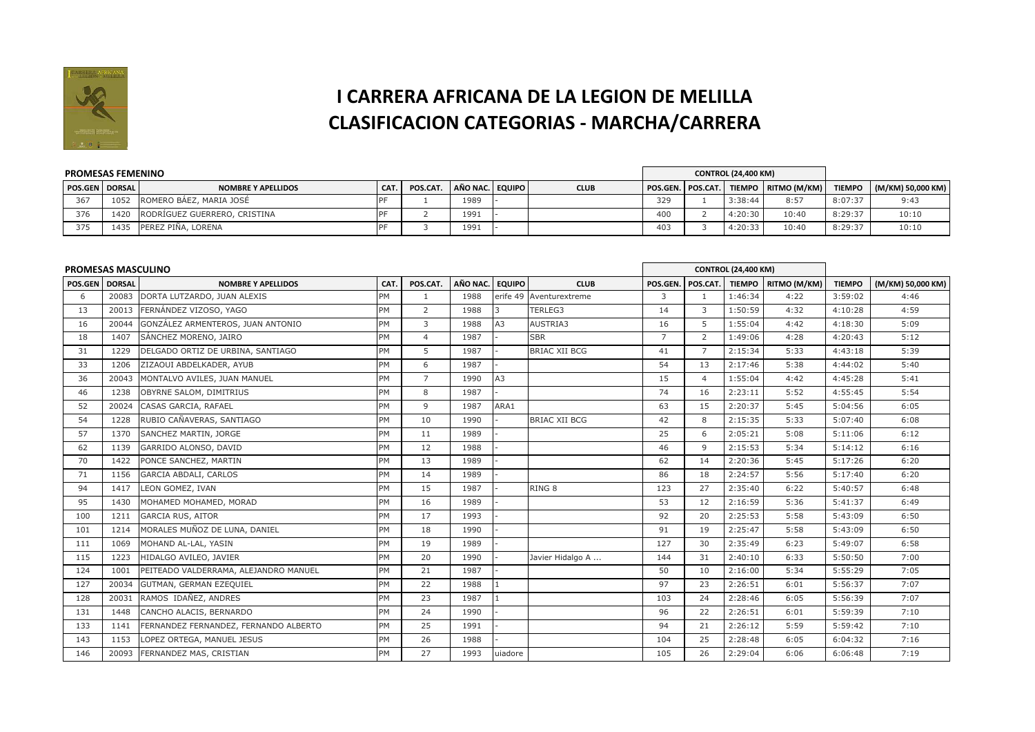

## **I CARRERA AFRICANA DE LA LEGION DE MELILLACLASIFICACION CATEGORIAS - MARCHA/CARRERA**

| <b>PROMESAS FEMENINO</b>  |      |                              |      |          |                 |             |                 | <b>CONTROL (24,400 KM)</b> |                                             |               |                   |
|---------------------------|------|------------------------------|------|----------|-----------------|-------------|-----------------|----------------------------|---------------------------------------------|---------------|-------------------|
| <b>POS.GEN   DORSAL  </b> |      | <b>NOMBRE Y APELLIDOS</b>    | CAT. | POS.CAT. | AÑO NAC. EQUIPO | <b>CLUB</b> |                 |                            | POS.GEN.   POS.CAT.   TIEMPO   RITMO (M/KM) | <b>TIEMPO</b> | (M/KM) 50,000 KM) |
| 367                       | 1052 | ROMERO BÁEZ, MARIA JOSÉ      |      |          | 1989            |             | 32 <sup>9</sup> | 3:38:44                    | 8:57                                        | 8:07:37       | 9:43              |
| 376                       | 1420 | RODRIGUEZ GUERRERO, CRISTINA |      |          | 1991            |             | 400             | 4:20:30                    | 10:40                                       | 8:29:37       | 10:10             |
| 375                       | 1435 | PEREZ PIÑA, LORENA           |      |          | 1991            |             | 403             | 4:20:33                    | 10:40                                       | 8:29:37       | 10:10             |

| <b>PROMESAS MASCULINO</b> |       |                                       |           |                |          |               |                         |                |                | <b>CONTROL (24,400 KM)</b> |                       |               |                   |
|---------------------------|-------|---------------------------------------|-----------|----------------|----------|---------------|-------------------------|----------------|----------------|----------------------------|-----------------------|---------------|-------------------|
| <b>POS.GEN DORSAL</b>     |       | <b>NOMBRE Y APELLIDOS</b>             | CAT.      | POS.CAT.       | AÑO NAC. | <b>EQUIPO</b> | <b>CLUB</b>             | POS.GEN.       | POS.CAT.       |                            | TIEMPO   RITMO (M/KM) | <b>TIEMPO</b> | (M/KM) 50,000 KM) |
| 6                         | 20083 | DORTA LUTZARDO, JUAN ALEXIS           | <b>PM</b> | $\mathbf{1}$   | 1988     |               | erife 49 Aventurextreme | 3              | $\mathbf{1}$   | 1:46:34                    | 4:22                  | 3:59:02       | 4:46              |
| 13                        | 20013 | FERNÁNDEZ VIZOSO, YAGO                | PM        | 2              | 1988     |               | TERLEG3                 | 14             | 3              | 1:50:59                    | 4:32                  | 4:10:28       | 4:59              |
| 16                        | 20044 | GONZÁLEZ ARMENTEROS, JUAN ANTONIO     | PM        | 3              | 1988     | A3            | AUSTRIA3                | 16             | 5              | 1:55:04                    | 4:42                  | 4:18:30       | 5:09              |
| 18                        | 1407  | SÁNCHEZ MORENO, JAIRO                 | PM        | $\overline{4}$ | 1987     |               | <b>SBR</b>              | $\overline{7}$ | $\overline{2}$ | 1:49:06                    | 4:28                  | 4:20:43       | 5:12              |
| 31                        | 1229  | DELGADO ORTIZ DE URBINA, SANTIAGO     | PM        | 5              | 1987     |               | <b>BRIAC XII BCG</b>    | 41             | $\overline{7}$ | 2:15:34                    | 5:33                  | 4:43:18       | 5:39              |
| 33                        | 1206  | ZIZAOUI ABDELKADER, AYUB              | PM        | 6              | 1987     |               |                         | 54             | 13             | 2:17:46                    | 5:38                  | 4:44:02       | 5:40              |
| 36                        | 20043 | MONTALVO AVILES, JUAN MANUEL          | PM        | $\overline{7}$ | 1990     | A3            |                         | 15             | $\overline{4}$ | 1:55:04                    | 4:42                  | 4:45:28       | 5:41              |
| 46                        | 1238  | OBYRNE SALOM, DIMITRIUS               | PM        | 8              | 1987     |               |                         | 74             | 16             | 2:23:11                    | 5:52                  | 4:55:45       | 5:54              |
| 52                        | 20024 | CASAS GARCIA, RAFAEL                  | PM        | 9              | 1987     | ARA1          |                         | 63             | 15             | 2:20:37                    | 5:45                  | 5:04:56       | 6:05              |
| 54                        | 1228  | RUBIO CAÑAVERAS, SANTIAGO             | PM        | 10             | 1990     |               | <b>BRIAC XII BCG</b>    | 42             | 8              | 2:15:35                    | 5:33                  | 5:07:40       | 6:08              |
| 57                        | 1370  | SANCHEZ MARTIN, JORGE                 | <b>PM</b> | 11             | 1989     |               |                         | 25             | 6              | 2:05:21                    | 5:08                  | 5:11:06       | 6:12              |
| 62                        | 1139  | GARRIDO ALONSO, DAVID                 | PM        | 12             | 1988     |               |                         | 46             | 9              | 2:15:53                    | 5:34                  | 5:14:12       | 6:16              |
| 70                        | 1422  | PONCE SANCHEZ, MARTIN                 | PM        | 13             | 1989     |               |                         | 62             | 14             | 2:20:36                    | 5:45                  | 5:17:26       | 6:20              |
| 71                        | 1156  | GARCIA ABDALI, CARLOS                 | PM        | 14             | 1989     |               |                         | 86             | 18             | 2:24:57                    | 5:56                  | 5:17:40       | 6:20              |
| 94                        | 1417  | LEON GOMEZ, IVAN                      | PM        | 15             | 1987     |               | RING <sub>8</sub>       | 123            | 27             | 2:35:40                    | 6:22                  | 5:40:57       | 6:48              |
| 95                        | 1430  | MOHAMED MOHAMED, MORAD                | PM        | 16             | 1989     |               |                         | 53             | 12             | 2:16:59                    | 5:36                  | 5:41:37       | 6:49              |
| 100                       | 1211  | <b>GARCIA RUS, AITOR</b>              | PM        | 17             | 1993     |               |                         | 92             | 20             | 2:25:53                    | 5:58                  | 5:43:09       | 6:50              |
| 101                       | 1214  | MORALES MUÑOZ DE LUNA, DANIEL         | PM        | 18             | 1990     |               |                         | 91             | 19             | 2:25:47                    | 5:58                  | 5:43:09       | 6:50              |
| 111                       | 1069  | MOHAND AL-LAL, YASIN                  | PM        | 19             | 1989     |               |                         | 127            | 30             | 2:35:49                    | 6:23                  | 5:49:07       | 6:58              |
| 115                       | 1223  | HIDALGO AVILEO, JAVIER                | <b>PM</b> | 20             | 1990     |               | Javier Hidalgo A        | 144            | 31             | 2:40:10                    | 6:33                  | 5:50:50       | 7:00              |
| 124                       | 1001  | PEITEADO VALDERRAMA, ALEJANDRO MANUEL | PM        | 21             | 1987     |               |                         | 50             | 10             | 2:16:00                    | 5:34                  | 5:55:29       | 7:05              |
| 127                       | 20034 | <b>GUTMAN, GERMAN EZEQUIEL</b>        | PM        | 22             | 1988     |               |                         | 97             | 23             | 2:26:51                    | 6:01                  | 5:56:37       | 7:07              |
| 128                       | 20031 | RAMOS IDAÑEZ, ANDRES                  | PM        | 23             | 1987     |               |                         | 103            | 24             | 2:28:46                    | 6:05                  | 5:56:39       | 7:07              |
| 131                       | 1448  | CANCHO ALACIS, BERNARDO               | PM        | 24             | 1990     |               |                         | 96             | 22             | 2:26:51                    | 6:01                  | 5:59:39       | 7:10              |
| 133                       | 1141  | FERNANDEZ FERNANDEZ, FERNANDO ALBERTO | <b>PM</b> | 25             | 1991     |               |                         | 94             | 21             | 2:26:12                    | 5:59                  | 5:59:42       | 7:10              |
| 143                       | 1153  | LOPEZ ORTEGA, MANUEL JESUS            | <b>PM</b> | 26             | 1988     |               |                         | 104            | 25             | 2:28:48                    | 6:05                  | 6:04:32       | 7:16              |
| 146                       | 20093 | FERNANDEZ MAS, CRISTIAN               | PM        | 27             | 1993     | uiadore       |                         | 105            | 26             | 2:29:04                    | 6:06                  | 6:06:48       | 7:19              |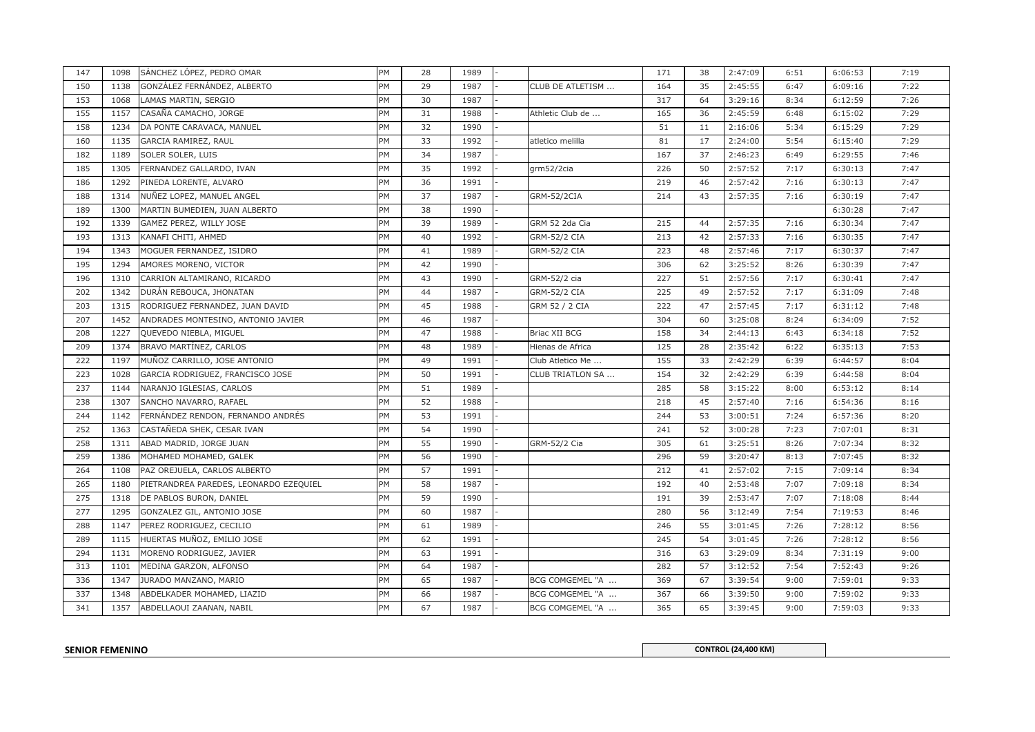| 147 | 1098 | SÁNCHEZ LÓPEZ, PEDRO OMAR              | PM        | 28 | 1989 |                         | 171 | 38 | 2:47:09 | 6:51 | 6:06:53 | 7:19 |
|-----|------|----------------------------------------|-----------|----|------|-------------------------|-----|----|---------|------|---------|------|
| 150 | 1138 | GONZÁLEZ FERNÁNDEZ, ALBERTO            | PM        | 29 | 1987 | CLUB DE ATLETISM        | 164 | 35 | 2:45:55 | 6:47 | 6:09:16 | 7:22 |
| 153 | 1068 | LAMAS MARTIN, SERGIO                   | PM        | 30 | 1987 |                         | 317 | 64 | 3:29:16 | 8:34 | 6:12:59 | 7:26 |
| 155 | 1157 | CASAÑA CAMACHO, JORGE                  | PM        | 31 | 1988 | Athletic Club de        | 165 | 36 | 2:45:59 | 6:48 | 6:15:02 | 7:29 |
| 158 | 1234 | DA PONTE CARAVACA, MANUEL              | PM        | 32 | 1990 |                         | 51  | 11 | 2:16:06 | 5:34 | 6:15:29 | 7:29 |
| 160 | 1135 | GARCIA RAMIREZ, RAUL                   | PM        | 33 | 1992 | atletico melilla        | 81  | 17 | 2:24:00 | 5:54 | 6:15:40 | 7:29 |
| 182 | 1189 | SOLER SOLER, LUIS                      | PM        | 34 | 1987 |                         | 167 | 37 | 2:46:23 | 6:49 | 6:29:55 | 7:46 |
| 185 | 1305 | FERNANDEZ GALLARDO, IVAN               | PM        | 35 | 1992 | grm52/2cia              | 226 | 50 | 2:57:52 | 7:17 | 6:30:13 | 7:47 |
| 186 | 1292 | PINEDA LORENTE, ALVARO                 | PM        | 36 | 1991 |                         | 219 | 46 | 2:57:42 | 7:16 | 6:30:13 | 7:47 |
| 188 | 1314 | NUÑEZ LOPEZ, MANUEL ANGEL              | PM        | 37 | 1987 | GRM-52/2CIA             | 214 | 43 | 2:57:35 | 7:16 | 6:30:19 | 7:47 |
| 189 | 1300 | MARTIN BUMEDIEN, JUAN ALBERTO          | PM        | 38 | 1990 |                         |     |    |         |      | 6:30:28 | 7:47 |
| 192 | 1339 | GAMEZ PEREZ, WILLY JOSE                | PM        | 39 | 1989 | GRM 52 2da Cia          | 215 | 44 | 2:57:35 | 7:16 | 6:30:34 | 7:47 |
| 193 | 1313 | KANAFI CHITI, AHMED                    | PM        | 40 | 1992 | <b>GRM-52/2 CIA</b>     | 213 | 42 | 2:57:33 | 7:16 | 6:30:35 | 7:47 |
| 194 | 1343 | MOGUER FERNANDEZ, ISIDRO               | PM        | 41 | 1989 | <b>GRM-52/2 CIA</b>     | 223 | 48 | 2:57:46 | 7:17 | 6:30:37 | 7:47 |
| 195 | 1294 | AMORES MORENO, VICTOR                  | PM        | 42 | 1990 |                         | 306 | 62 | 3:25:52 | 8:26 | 6:30:39 | 7:47 |
| 196 | 1310 | CARRION ALTAMIRANO, RICARDO            | PM        | 43 | 1990 | GRM-52/2 cia            | 227 | 51 | 2:57:56 | 7:17 | 6:30:41 | 7:47 |
| 202 | 1342 | DURÁN REBOUCA, JHONATAN                | PM        | 44 | 1987 | <b>GRM-52/2 CIA</b>     | 225 | 49 | 2:57:52 | 7:17 | 6:31:09 | 7:48 |
| 203 | 1315 | RODRIGUEZ FERNANDEZ, JUAN DAVID        | PM        | 45 | 1988 | GRM 52 / 2 CIA          | 222 | 47 | 2:57:45 | 7:17 | 6:31:12 | 7:48 |
| 207 | 1452 | ANDRADES MONTESINO, ANTONIO JAVIER     | PM        | 46 | 1987 |                         | 304 | 60 | 3:25:08 | 8:24 | 6:34:09 | 7:52 |
| 208 | 1227 | QUEVEDO NIEBLA, MIGUEL                 | PM        | 47 | 1988 | Briac XII BCG           | 158 | 34 | 2:44:13 | 6:43 | 6:34:18 | 7:52 |
| 209 | 1374 | BRAVO MARTÍNEZ, CARLOS                 | PM        | 48 | 1989 | Hienas de Africa        | 125 | 28 | 2:35:42 | 6:22 | 6:35:13 | 7:53 |
| 222 | 1197 | MUÑOZ CARRILLO, JOSE ANTONIO           | PM        | 49 | 1991 | Club Atletico Me        | 155 | 33 | 2:42:29 | 6:39 | 6:44:57 | 8:04 |
| 223 | 1028 | GARCIA RODRIGUEZ, FRANCISCO JOSE       | PM        | 50 | 1991 | <b>CLUB TRIATLON SA</b> | 154 | 32 | 2:42:29 | 6:39 | 6:44:58 | 8:04 |
| 237 | 1144 | NARANJO IGLESIAS, CARLOS               | PM        | 51 | 1989 |                         | 285 | 58 | 3:15:22 | 8:00 | 6:53:12 | 8:14 |
| 238 | 1307 | SANCHO NAVARRO, RAFAEL                 | PM        | 52 | 1988 |                         | 218 | 45 | 2:57:40 | 7:16 | 6:54:36 | 8:16 |
| 244 | 1142 | FERNÁNDEZ RENDON, FERNANDO ANDRÉS      | PM        | 53 | 1991 |                         | 244 | 53 | 3:00:51 | 7:24 | 6:57:36 | 8:20 |
| 252 | 1363 | CASTAÑEDA SHEK, CESAR IVAN             | PM        | 54 | 1990 |                         | 241 | 52 | 3:00:28 | 7:23 | 7:07:01 | 8:31 |
| 258 | 1311 | ABAD MADRID, JORGE JUAN                | PM        | 55 | 1990 | GRM-52/2 Cia            | 305 | 61 | 3:25:51 | 8:26 | 7:07:34 | 8:32 |
| 259 | 1386 | MOHAMED MOHAMED, GALEK                 | PM        | 56 | 1990 |                         | 296 | 59 | 3:20:47 | 8:13 | 7:07:45 | 8:32 |
| 264 | 1108 | PAZ OREJUELA, CARLOS ALBERTO           | PM        | 57 | 1991 |                         | 212 | 41 | 2:57:02 | 7:15 | 7:09:14 | 8:34 |
| 265 | 1180 | PIETRANDREA PAREDES, LEONARDO EZEQUIEL | <b>PM</b> | 58 | 1987 |                         | 192 | 40 | 2:53:48 | 7:07 | 7:09:18 | 8:34 |
| 275 | 1318 | DE PABLOS BURON, DANIEL                | PM        | 59 | 1990 |                         | 191 | 39 | 2:53:47 | 7:07 | 7:18:08 | 8:44 |
| 277 | 1295 | GONZALEZ GIL, ANTONIO JOSE             | PM        | 60 | 1987 |                         | 280 | 56 | 3:12:49 | 7:54 | 7:19:53 | 8:46 |
| 288 | 1147 | PEREZ RODRIGUEZ, CECILIO               | PM        | 61 | 1989 |                         | 246 | 55 | 3:01:45 | 7:26 | 7:28:12 | 8:56 |
| 289 | 1115 | HUERTAS MUÑOZ, EMILIO JOSE             | PM        | 62 | 1991 |                         | 245 | 54 | 3:01:45 | 7:26 | 7:28:12 | 8:56 |
| 294 | 1131 | MORENO RODRIGUEZ, JAVIER               | PM        | 63 | 1991 |                         | 316 | 63 | 3:29:09 | 8:34 | 7:31:19 | 9:00 |
| 313 | 1101 | MEDINA GARZON, ALFONSO                 | PM        | 64 | 1987 |                         | 282 | 57 | 3:12:52 | 7:54 | 7:52:43 | 9:26 |
| 336 | 1347 | JURADO MANZANO, MARIO                  | PM        | 65 | 1987 | BCG COMGEMEL "A         | 369 | 67 | 3:39:54 | 9:00 | 7:59:01 | 9:33 |
| 337 | 1348 | ABDELKADER MOHAMED, LIAZID             | PM        | 66 | 1987 | BCG COMGEMEL "A         | 367 | 66 | 3:39:50 | 9:00 | 7:59:02 | 9:33 |
| 341 | 1357 | ABDELLAOUI ZAANAN, NABIL               | PM        | 67 | 1987 | BCG COMGEMEL "A         | 365 | 65 | 3:39:45 | 9:00 | 7:59:03 | 9:33 |

**SENIOR FEMENINO**

**CONTROL (24,400 KM) CONTROL (24,400 KM)**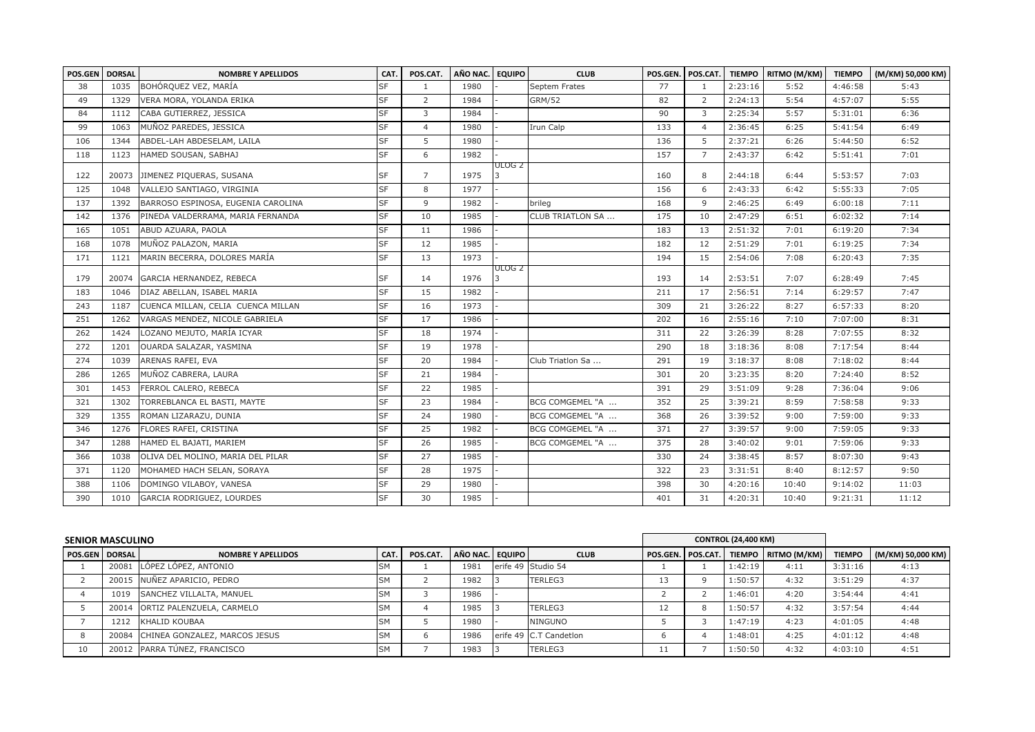| POS.GEN | <b>DORSAL</b> | <b>NOMBRE Y APELLIDOS</b>          | CAT.      | POS.CAT.       | AÑO NAC. | <b>EQUIPO</b>     | <b>CLUB</b>      | POS.GEN. | POS.CAT.       |         | TIEMPO RITMO (M/KM) | <b>TIEMPO</b> | (M/KM) 50,000 KM) |
|---------|---------------|------------------------------------|-----------|----------------|----------|-------------------|------------------|----------|----------------|---------|---------------------|---------------|-------------------|
| 38      | 1035          | BOHÓRQUEZ VEZ, MARÍA               | <b>SF</b> | $\overline{1}$ | 1980     |                   | Septem Frates    | 77       | $\mathbf{1}$   | 2:23:16 | 5:52                | 4:46:58       | 5:43              |
| 49      | 1329          | VERA MORA, YOLANDA ERIKA           | <b>SF</b> | 2              | 1984     |                   | <b>GRM/52</b>    | 82       | 2              | 2:24:13 | 5:54                | 4:57:07       | 5:55              |
| 84      | 1112          | CABA GUTIERREZ, JESSICA            | <b>SF</b> | $\overline{3}$ | 1984     |                   |                  | 90       | 3              | 2:25:34 | 5:57                | 5:31:01       | 6:36              |
| 99      | 1063          | MUÑOZ PAREDES, JESSICA             | <b>SF</b> | $\overline{4}$ | 1980     |                   | Irun Calp        | 133      | $\overline{4}$ | 2:36:45 | 6:25                | 5:41:54       | 6:49              |
| 106     | 1344          | ABDEL-LAH ABDESELAM, LAILA         | <b>SF</b> | -5             | 1980     |                   |                  | 136      | 5              | 2:37:21 | 6:26                | 5:44:50       | 6:52              |
| 118     | 1123          | HAMED SOUSAN, SABHAJ               | <b>SF</b> | 6              | 1982     |                   |                  | 157      | $\overline{7}$ | 2:43:37 | 6:42                | 5:51:41       | 7:01              |
| 122     | 20073         | JIMENEZ PIQUERAS, SUSANA           | <b>SF</b> | $\overline{7}$ | 1975     | ULOG <sub>2</sub> |                  | 160      | 8              | 2:44:18 | 6:44                | 5:53:57       | 7:03              |
| 125     | 1048          | VALLEJO SANTIAGO, VIRGINIA         | <b>SF</b> | 8              | 1977     |                   |                  | 156      | 6              | 2:43:33 | 6:42                | 5:55:33       | 7:05              |
| 137     | 1392          | BARROSO ESPINOSA, EUGENIA CAROLINA | <b>SF</b> | 9              | 1982     |                   | brileg           | 168      | 9              | 2:46:25 | 6:49                | 6:00:18       | 7:11              |
| 142     | 1376          | PINEDA VALDERRAMA, MARIA FERNANDA  | <b>SF</b> | 10             | 1985     |                   | CLUB TRIATLON SA | 175      | 10             | 2:47:29 | 6:51                | 6:02:32       | 7:14              |
| 165     | 1051          | ABUD AZUARA, PAOLA                 | <b>SF</b> | 11             | 1986     |                   |                  | 183      | 13             | 2:51:32 | 7:01                | 6:19:20       | 7:34              |
| 168     | 1078          | MUÑOZ PALAZON, MARIA               | <b>SF</b> | 12             | 1985     |                   |                  | 182      | 12             | 2:51:29 | 7:01                | 6:19:25       | 7:34              |
| 171     | 1121          | MARIN BECERRA, DOLORES MARÍA       | <b>SF</b> | 13             | 1973     |                   |                  | 194      | 15             | 2:54:06 | 7:08                | 6:20:43       | 7:35              |
| 179     | 20074         | GARCIA HERNANDEZ, REBECA           | <b>SF</b> | 14             | 1976     | ULOG 2            |                  | 193      | 14             | 2:53:51 | 7:07                | 6:28:49       | 7:45              |
| 183     | 1046          | DIAZ ABELLAN, ISABEL MARIA         | <b>SF</b> | 15             | 1982     |                   |                  | 211      | 17             | 2:56:51 | 7:14                | 6:29:57       | 7:47              |
| 243     | 1187          | CUENCA MILLAN, CELIA CUENCA MILLAN | <b>SF</b> | 16             | 1973     |                   |                  | 309      | 21             | 3:26:22 | 8:27                | 6:57:33       | 8:20              |
| 251     | 1262          | VARGAS MENDEZ, NICOLE GABRIELA     | <b>SF</b> | 17             | 1986     |                   |                  | 202      | 16             | 2:55:16 | 7:10                | 7:07:00       | 8:31              |
| 262     | 1424          | LOZANO MEJUTO, MARÍA ICYAR         | <b>SF</b> | 18             | 1974     |                   |                  | 311      | 22             | 3:26:39 | 8:28                | 7:07:55       | 8:32              |
| 272     | 1201          | OUARDA SALAZAR, YASMINA            | <b>SF</b> | 19             | 1978     |                   |                  | 290      | 18             | 3:18:36 | 8:08                | 7:17:54       | 8:44              |
| 274     | 1039          | ARENAS RAFEI, EVA                  | <b>SF</b> | 20             | 1984     |                   | Club Triatlon Sa | 291      | 19             | 3:18:37 | 8:08                | 7:18:02       | 8:44              |
| 286     | 1265          | MUÑOZ CABRERA, LAURA               | <b>SF</b> | 21             | 1984     |                   |                  | 301      | 20             | 3:23:35 | 8:20                | 7:24:40       | 8:52              |
| 301     | 1453          | FERROL CALERO, REBECA              | <b>SF</b> | 22             | 1985     |                   |                  | 391      | 29             | 3:51:09 | 9:28                | 7:36:04       | 9:06              |
| 321     | 1302          | TORREBLANCA EL BASTI, MAYTE        | <b>SF</b> | 23             | 1984     |                   | BCG COMGEMEL "A  | 352      | 25             | 3:39:21 | 8:59                | 7:58:58       | 9:33              |
| 329     | 1355          | ROMAN LIZARAZU, DUNIA              | <b>SF</b> | 24             | 1980     |                   | BCG COMGEMEL "A  | 368      | 26             | 3:39:52 | 9:00                | 7:59:00       | 9:33              |
| 346     | 1276          | FLORES RAFEI, CRISTINA             | <b>SF</b> | 25             | 1982     |                   | BCG COMGEMEL "A  | 371      | 27             | 3:39:57 | 9:00                | 7:59:05       | 9:33              |
| 347     | 1288          | HAMED EL BAJATI, MARIEM            | <b>SF</b> | 26             | 1985     |                   | BCG COMGEMEL "A  | 375      | 28             | 3:40:02 | 9:01                | 7:59:06       | 9:33              |
| 366     | 1038          | OLIVA DEL MOLINO, MARIA DEL PILAR  | <b>SF</b> | 27             | 1985     |                   |                  | 330      | 24             | 3:38:45 | 8:57                | 8:07:30       | 9:43              |
| 371     | 1120          | MOHAMED HACH SELAN, SORAYA         | <b>SF</b> | 28             | 1975     |                   |                  | 322      | 23             | 3:31:51 | 8:40                | 8:12:57       | 9:50              |
| 388     | 1106          | DOMINGO VILABOY, VANESA            | <b>SF</b> | 29             | 1980     |                   |                  | 398      | 30             | 4:20:16 | 10:40               | 9:14:02       | 11:03             |
| 390     | 1010          | GARCIA RODRIGUEZ, LOURDES          | <b>SF</b> | 30             | 1985     |                   |                  | 401      | 31             | 4:20:31 | 10:40               | 9:21:31       | 11:12             |

| <b>SENIOR MASCULINO</b> |       |                                 |           |          |                 |                        |          |                      | <b>CONTROL (24,400 KM)</b> |                       |               |                   |
|-------------------------|-------|---------------------------------|-----------|----------|-----------------|------------------------|----------|----------------------|----------------------------|-----------------------|---------------|-------------------|
| <b>POS.GEN DORSAL</b>   |       | <b>NOMBRE Y APELLIDOS</b>       | CAT.      | POS.CAT. | AÑO NAC. EQUIPO | <b>CLUB</b>            | POS.GEN. | POS.CAT.             |                            | TIEMPO   RITMO (M/KM) | <b>TIEMPO</b> | (M/KM) 50,000 KM) |
|                         | 20081 | LÓPEZ LÓPEZ, ANTONIO            | <b>SM</b> |          | 1981            | erife 49 Studio 54     |          |                      | 1:42:19                    | 4:11                  | 3:31:16       | 4:13              |
|                         | 20015 | NUÑEZ APARICIO, PEDRO           | SM        |          | 1982            | TERLEG3                | 13       | $\Omega$             | 1:50:57                    | 4:32                  | 3:51:29       | 4:37              |
|                         | 1019  | SANCHEZ VILLALTA, MANUEL        | <b>SM</b> |          | 1986            |                        |          |                      | 1:46:01                    | 4:20                  | 3:54:44       | 4:41              |
|                         |       | 20014 ORTIZ PALENZUELA, CARMELO | <b>SM</b> |          | 1985            | <b>TERLEG3</b>         |          | $\Omega$<br>$\Omega$ | 1:50:57                    | 4:32                  | 3:57:54       | 4:44              |
|                         | 1212  | KHALID KOUBAA                   | <b>SM</b> |          | 1980            | <b>NINGUNO</b>         |          |                      | 1:47:19                    | 4:23                  | 4:01:05       | 4:48              |
|                         | 20084 | CHINEA GONZALEZ, MARCOS JESUS   | <b>SM</b> |          | 1986            | erife 49 C.T Candetion |          |                      | 1:48:01                    | 4:25                  | 4:01:12       | 4:48              |
| 10                      | 20012 | PARRA TÚNEZ, FRANCISCO          | <b>SM</b> |          | 1983            | TERLEG3                |          |                      | 1:50:50                    | 4:32                  | 4:03:10       | 4:51              |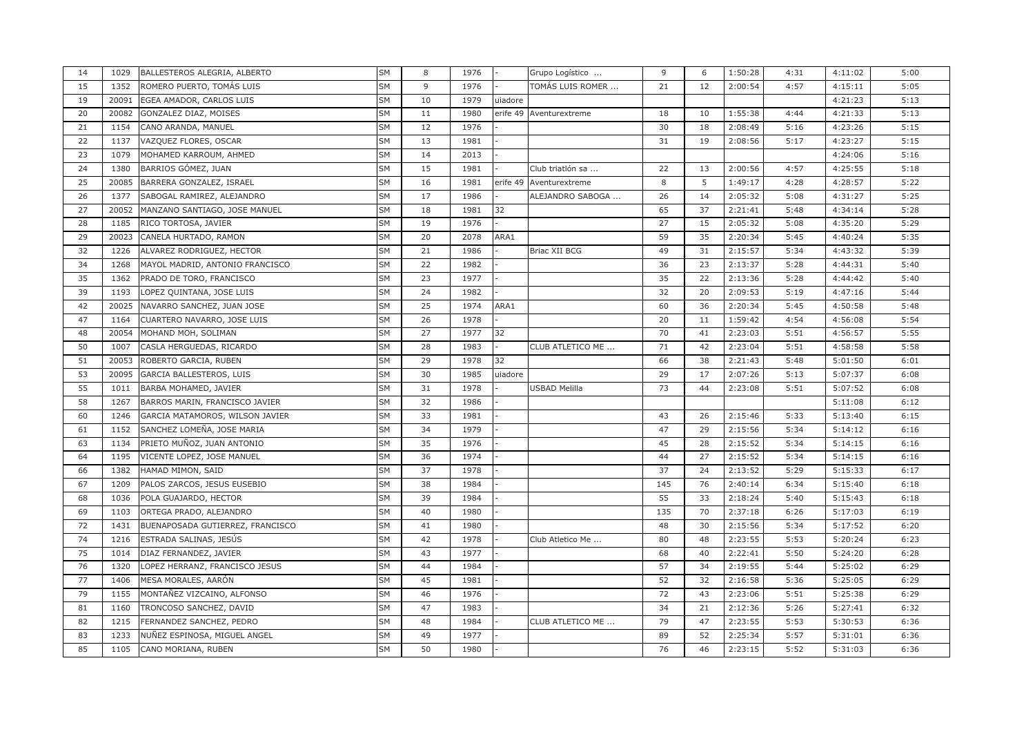| 14 | 1029  | BALLESTEROS ALEGRIA, ALBERTO     | <b>SM</b> | 8  | 1976 |          | Grupo Logístico         | 9   | 6  | 1:50:28 | 4:31 | 4:11:02 | 5:00 |
|----|-------|----------------------------------|-----------|----|------|----------|-------------------------|-----|----|---------|------|---------|------|
| 15 | 1352  | ROMERO PUERTO, TOMÁS LUIS        | <b>SM</b> | 9  | 1976 |          | TOMÁS LUIS ROMER        | 21  | 12 | 2:00:54 | 4:57 | 4:15:11 | 5:05 |
| 19 | 20091 | EGEA AMADOR, CARLOS LUIS         | <b>SM</b> | 10 | 1979 | uiadore  |                         |     |    |         |      | 4:21:23 | 5:13 |
| 20 | 20082 | GONZALEZ DIAZ, MOISES            | SΜ        | 11 | 1980 |          | erife 49 Aventurextreme | 18  | 10 | 1:55:38 | 4:44 | 4:21:33 | 5:13 |
| 21 | 1154  | CANO ARANDA, MANUEL              | <b>SM</b> | 12 | 1976 |          |                         | 30  | 18 | 2:08:49 | 5:16 | 4:23:26 | 5:15 |
| 22 | 1137  | VAZQUEZ FLORES, OSCAR            | SM        | 13 | 1981 |          |                         | 31  | 19 | 2:08:56 | 5:17 | 4:23:27 | 5:15 |
| 23 | 1079  | MOHAMED KARROUM, AHMED           | <b>SM</b> | 14 | 2013 |          |                         |     |    |         |      | 4:24:06 | 5:16 |
| 24 | 1380  | BARRIOS GÓMEZ, JUAN              | SΜ        | 15 | 1981 |          | Club triatión sa        | 22  | 13 | 2:00:56 | 4:57 | 4:25:55 | 5:18 |
| 25 | 20085 | BARRERA GONZALEZ, ISRAEL         | SM        | 16 | 1981 | erife 49 | Aventurextreme          | 8   | 5  | 1:49:17 | 4:28 | 4:28:57 | 5:22 |
| 26 | 1377  | SABOGAL RAMIREZ, ALEJANDRO       | SΜ        | 17 | 1986 |          | ALEJANDRO SABOGA        | 26  | 14 | 2:05:32 | 5:08 | 4:31:27 | 5:25 |
| 27 | 20052 | MANZANO SANTIAGO, JOSE MANUEL    | SΜ        | 18 | 1981 | 32       |                         | 65  | 37 | 2:21:41 | 5:48 | 4:34:14 | 5:28 |
| 28 | 1185  | RICO TORTOSA, JAVIER             | SM        | 19 | 1976 |          |                         | 27  | 15 | 2:05:32 | 5:08 | 4:35:20 | 5:29 |
| 29 | 20023 | CANELA HURTADO, RAMON            | SΜ        | 20 | 2078 | ARA1     |                         | 59  | 35 | 2:20:34 | 5:45 | 4:40:24 | 5:35 |
| 32 | 1226  | ALVAREZ RODRIGUEZ, HECTOR        | <b>SM</b> | 21 | 1986 |          | Briac XII BCG           | 49  | 31 | 2:15:57 | 5:34 | 4:43:32 | 5:39 |
| 34 | 1268  | MAYOL MADRID, ANTONIO FRANCISCO  | SΜ        | 22 | 1982 |          |                         | 36  | 23 | 2:13:37 | 5:28 | 4:44:31 | 5:40 |
| 35 | 1362  | PRADO DE TORO, FRANCISCO         | SΜ        | 23 | 1977 |          |                         | 35  | 22 | 2:13:36 | 5:28 | 4:44:42 | 5:40 |
| 39 | 1193  | LOPEZ QUINTANA, JOSE LUIS        | SM        | 24 | 1982 |          |                         | 32  | 20 | 2:09:53 | 5:19 | 4:47:16 | 5:44 |
| 42 | 20025 | NAVARRO SANCHEZ, JUAN JOSE       | SM        | 25 | 1974 | ARA1     |                         | 60  | 36 | 2:20:34 | 5:45 | 4:50:58 | 5:48 |
| 47 | 1164  | CUARTERO NAVARRO, JOSE LUIS      | SΜ        | 26 | 1978 |          |                         | 20  | 11 | 1:59:42 | 4:54 | 4:56:08 | 5:54 |
| 48 | 20054 | MOHAND MOH, SOLIMAN              | SM        | 27 | 1977 | 32       |                         | 70  | 41 | 2:23:03 | 5:51 | 4:56:57 | 5:55 |
| 50 | 1007  | CASLA HERGUEDAS, RICARDO         | SM        | 28 | 1983 |          | CLUB ATLETICO ME        | 71  | 42 | 2:23:04 | 5:51 | 4:58:58 | 5:58 |
| 51 | 20053 | ROBERTO GARCIA, RUBEN            | SΜ        | 29 | 1978 | 32       |                         | 66  | 38 | 2:21:43 | 5:48 | 5:01:50 | 6:01 |
| 53 | 20095 | GARCIA BALLESTEROS, LUIS         | SΜ        | 30 | 1985 | uiadore  |                         | 29  | 17 | 2:07:26 | 5:13 | 5:07:37 | 6:08 |
| 55 | 1011  | BARBA MOHAMED, JAVIER            | SΜ        | 31 | 1978 |          | USBAD Melilla           | 73  | 44 | 2:23:08 | 5:51 | 5:07:52 | 6:08 |
| 58 | 1267  | BARROS MARIN, FRANCISCO JAVIER   | <b>SM</b> | 32 | 1986 |          |                         |     |    |         |      | 5:11:08 | 6:12 |
| 60 | 1246  | GARCIA MATAMOROS, WILSON JAVIER  | SM        | 33 | 1981 |          |                         | 43  | 26 | 2:15:46 | 5:33 | 5:13:40 | 6:15 |
| 61 | 1152  | SANCHEZ LOMEÑA, JOSE MARIA       | SM        | 34 | 1979 |          |                         | 47  | 29 | 2:15:56 | 5:34 | 5:14:12 | 6:16 |
| 63 | 1134  | PRIETO MUÑOZ, JUAN ANTONIO       | SΜ        | 35 | 1976 |          |                         | 45  | 28 | 2:15:52 | 5:34 | 5:14:15 | 6:16 |
| 64 | 1195  | VICENTE LOPEZ, JOSE MANUEL       | SΜ        | 36 | 1974 |          |                         | 44  | 27 | 2:15:52 | 5:34 | 5:14:15 | 6:16 |
| 66 | 1382  | HAMAD MIMON, SAID                | SΜ        | 37 | 1978 |          |                         | 37  | 24 | 2:13:52 | 5:29 | 5:15:33 | 6:17 |
| 67 | 1209  | PALOS ZARCOS, JESUS EUSEBIO      | SM        | 38 | 1984 |          |                         | 145 | 76 | 2:40:14 | 6:34 | 5:15:40 | 6:18 |
| 68 | 1036  | POLA GUAJARDO, HECTOR            | SΜ        | 39 | 1984 |          |                         | 55  | 33 | 2:18:24 | 5:40 | 5:15:43 | 6:18 |
| 69 | 1103  | ORTEGA PRADO, ALEJANDRO          | SΜ        | 40 | 1980 |          |                         | 135 | 70 | 2:37:18 | 6:26 | 5:17:03 | 6:19 |
| 72 | 1431  | BUENAPOSADA GUTIERREZ, FRANCISCO | SM        | 41 | 1980 |          |                         | 48  | 30 | 2:15:56 | 5:34 | 5:17:52 | 6:20 |
| 74 | 1216  | ESTRADA SALINAS, JESÚS           | <b>SM</b> | 42 | 1978 |          | Club Atletico Me        | 80  | 48 | 2:23:55 | 5:53 | 5:20:24 | 6:23 |
| 75 | 1014  | DIAZ FERNANDEZ, JAVIER           | SΜ        | 43 | 1977 |          |                         | 68  | 40 | 2:22:41 | 5:50 | 5:24:20 | 6:28 |
| 76 | 1320  | LOPEZ HERRANZ, FRANCISCO JESUS   | SΜ        | 44 | 1984 |          |                         | 57  | 34 | 2:19:55 | 5:44 | 5:25:02 | 6:29 |
| 77 | 1406  | MESA MORALES, AARÓN              | SΜ        | 45 | 1981 |          |                         | 52  | 32 | 2:16:58 | 5:36 | 5:25:05 | 6:29 |
| 79 | 1155  | MONTAÑEZ VIZCAINO, ALFONSO       | <b>SM</b> | 46 | 1976 |          |                         | 72  | 43 | 2:23:06 | 5:51 | 5:25:38 | 6:29 |
| 81 | 1160  | TRONCOSO SANCHEZ, DAVID          | <b>SM</b> | 47 | 1983 |          |                         | 34  | 21 | 2:12:36 | 5:26 | 5:27:41 | 6:32 |
| 82 | 1215  | FERNANDEZ SANCHEZ, PEDRO         | SM        | 48 | 1984 |          | CLUB ATLETICO ME        | 79  | 47 | 2:23:55 | 5:53 | 5:30:53 | 6:36 |
| 83 | 1233  | NUÑEZ ESPINOSA, MIGUEL ANGEL     | <b>SM</b> | 49 | 1977 |          |                         | 89  | 52 | 2:25:34 | 5:57 | 5:31:01 | 6:36 |
| 85 | 1105  | CANO MORIANA, RUBEN              | SM        | 50 | 1980 |          |                         | 76  | 46 | 2:23:15 | 5:52 | 5:31:03 | 6:36 |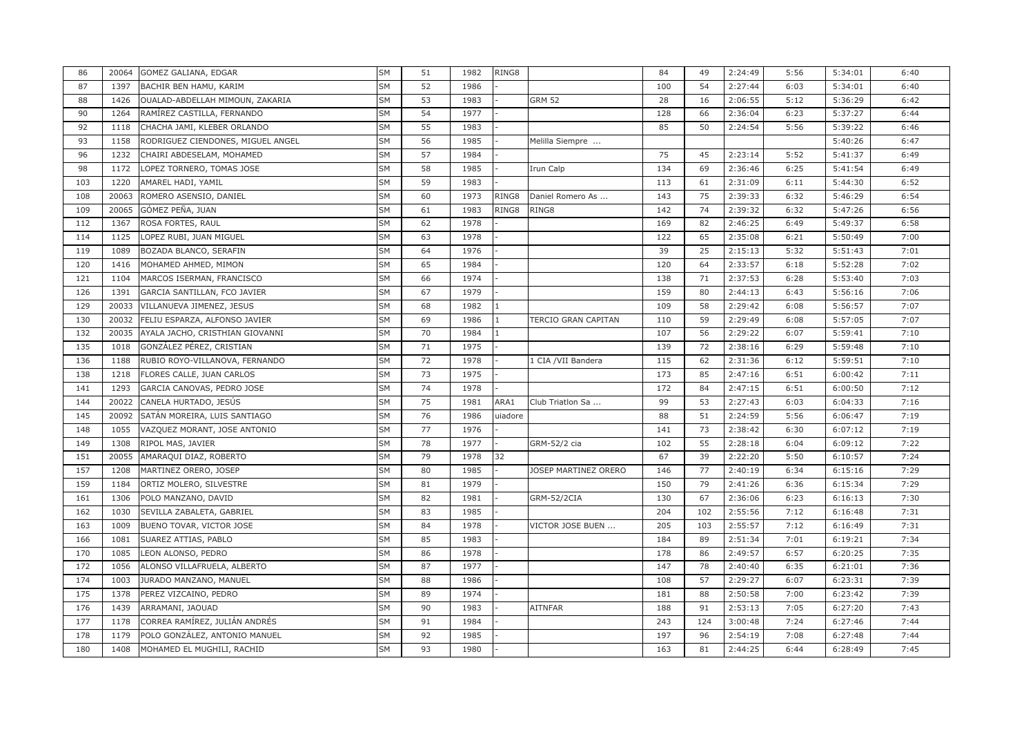| 86  | 20064 | GOMEZ GALIANA, EDGAR              | SM        | 51 | 1982 | RING8   |                            | 84  | 49  | 2:24:49 | 5:56 | 5:34:01 | 6:40 |
|-----|-------|-----------------------------------|-----------|----|------|---------|----------------------------|-----|-----|---------|------|---------|------|
| 87  | 1397  | BACHIR BEN HAMU, KARIM            | <b>SM</b> | 52 | 1986 |         |                            | 100 | 54  | 2:27:44 | 6:03 | 5:34:01 | 6:40 |
| 88  | 1426  | OUALAD-ABDELLAH MIMOUN, ZAKARIA   | <b>SM</b> | 53 | 1983 |         | <b>GRM 52</b>              | 28  | 16  | 2:06:55 | 5:12 | 5:36:29 | 6:42 |
| 90  | 1264  | RAMÍREZ CASTILLA, FERNANDO        | SM        | 54 | 1977 |         |                            | 128 | 66  | 2:36:04 | 6:23 | 5:37:27 | 6:44 |
| 92  | 1118  | CHACHA JAMI, KLEBER ORLANDO       | <b>SM</b> | 55 | 1983 |         |                            | 85  | 50  | 2:24:54 | 5:56 | 5:39:22 | 6:46 |
| 93  | 1158  | RODRIGUEZ CIENDONES, MIGUEL ANGEL | SM        | 56 | 1985 |         | Melilla Siempre            |     |     |         |      | 5:40:26 | 6:47 |
| 96  | 1232  | CHAIRI ABDESELAM, MOHAMED         | <b>SM</b> | 57 | 1984 |         |                            | 75  | 45  | 2:23:14 | 5:52 | 5:41:37 | 6:49 |
| 98  | 1172  | LOPEZ TORNERO, TOMAS JOSE         | SM        | 58 | 1985 |         | Irun Calp                  | 134 | 69  | 2:36:46 | 6:25 | 5:41:54 | 6:49 |
| 103 | 1220  | AMAREL HADI, YAMIL                | SΜ        | 59 | 1983 |         |                            | 113 | 61  | 2:31:09 | 6:11 | 5:44:30 | 6:52 |
| 108 | 20063 | ROMERO ASENSIO, DANIEL            | SΜ        | 60 | 1973 | RING8   | Daniel Romero As           | 143 | 75  | 2:39:33 | 6:32 | 5:46:29 | 6:54 |
| 109 | 20065 | GÓMEZ PEÑA, JUAN                  | SΜ        | 61 | 1983 | RING8   | RING8                      | 142 | 74  | 2:39:32 | 6:32 | 5:47:26 | 6:56 |
| 112 | 1367  | ROSA FORTES, RAUL                 | SΜ        | 62 | 1978 |         |                            | 169 | 82  | 2:46:25 | 6:49 | 5:49:37 | 6:58 |
| 114 | 1125  | LOPEZ RUBI, JUAN MIGUEL           | SΜ        | 63 | 1978 |         |                            | 122 | 65  | 2:35:08 | 6:21 | 5:50:49 | 7:00 |
| 119 | 1089  | BOZADA BLANCO, SERAFIN            | SΜ        | 64 | 1976 |         |                            | 39  | 25  | 2:15:13 | 5:32 | 5:51:43 | 7:01 |
| 120 | 1416  | MOHAMED AHMED, MIMON              | SΜ        | 65 | 1984 |         |                            | 120 | 64  | 2:33:57 | 6:18 | 5:52:28 | 7:02 |
| 121 | 1104  | MARCOS ISERMAN, FRANCISCO         | SΜ        | 66 | 1974 |         |                            | 138 | 71  | 2:37:53 | 6:28 | 5:53:40 | 7:03 |
| 126 | 1391  | GARCIA SANTILLAN, FCO JAVIER      | SM        | 67 | 1979 |         |                            | 159 | 80  | 2:44:13 | 6:43 | 5:56:16 | 7:06 |
| 129 | 20033 | VILLANUEVA JIMENEZ, JESUS         | SΜ        | 68 | 1982 |         |                            | 109 | 58  | 2:29:42 | 6:08 | 5:56:57 | 7:07 |
| 130 | 20032 | FELIU ESPARZA, ALFONSO JAVIER     | SΜ        | 69 | 1986 |         | <b>TERCIO GRAN CAPITAN</b> | 110 | 59  | 2:29:49 | 6:08 | 5:57:05 | 7:07 |
| 132 | 20035 | AYALA JACHO, CRISTHIAN GIOVANNI   | SM        | 70 | 1984 |         |                            | 107 | 56  | 2:29:22 | 6:07 | 5:59:41 | 7:10 |
| 135 | 1018  | GONZÁLEZ PÉREZ, CRISTIAN          | SΜ        | 71 | 1975 |         |                            | 139 | 72  | 2:38:16 | 6:29 | 5:59:48 | 7:10 |
| 136 | 1188  | RUBIO ROYO-VILLANOVA, FERNANDO    | SΜ        | 72 | 1978 |         | 1 CIA /VII Bandera         | 115 | 62  | 2:31:36 | 6:12 | 5:59:51 | 7:10 |
| 138 | 1218  | FLORES CALLE, JUAN CARLOS         | SΜ        | 73 | 1975 |         |                            | 173 | 85  | 2:47:16 | 6:51 | 6:00:42 | 7:11 |
| 141 | 1293  | GARCIA CANOVAS, PEDRO JOSE        | SΜ        | 74 | 1978 |         |                            | 172 | 84  | 2:47:15 | 6:51 | 6:00:50 | 7:12 |
| 144 | 20022 | CANELA HURTADO, JESÚS             | SΜ        | 75 | 1981 | ARA1    | Club Triatlon Sa           | 99  | 53  | 2:27:43 | 6:03 | 6:04:33 | 7:16 |
| 145 | 20092 | SATÁN MOREIRA, LUIS SANTIAGO      | SΜ        | 76 | 1986 | uiadore |                            | 88  | 51  | 2:24:59 | 5:56 | 6:06:47 | 7:19 |
| 148 | 1055  | VAZQUEZ MORANT, JOSE ANTONIO      | SM        | 77 | 1976 |         |                            | 141 | 73  | 2:38:42 | 6:30 | 6:07:12 | 7:19 |
| 149 | 1308  | RIPOL MAS, JAVIER                 | SΜ        | 78 | 1977 |         | GRM-52/2 cia               | 102 | 55  | 2:28:18 | 6:04 | 6:09:12 | 7:22 |
| 151 | 20055 | AMARAQUI DIAZ, ROBERTO            | SΜ        | 79 | 1978 | 32      |                            | 67  | 39  | 2:22:20 | 5:50 | 6:10:57 | 7:24 |
| 157 | 1208  | MARTINEZ ORERO, JOSEP             | SΜ        | 80 | 1985 |         | JOSEP MARTINEZ ORERO       | 146 | 77  | 2:40:19 | 6:34 | 6:15:16 | 7:29 |
| 159 | 1184  | ORTIZ MOLERO, SILVESTRE           | SM        | 81 | 1979 |         |                            | 150 | 79  | 2:41:26 | 6:36 | 6:15:34 | 7:29 |
| 161 | 1306  | POLO MANZANO, DAVID               | SΜ        | 82 | 1981 |         | GRM-52/2CIA                | 130 | 67  | 2:36:06 | 6:23 | 6:16:13 | 7:30 |
| 162 | 1030  | SEVILLA ZABALETA, GABRIEL         | SΜ        | 83 | 1985 |         |                            | 204 | 102 | 2:55:56 | 7:12 | 6:16:48 | 7:31 |
| 163 | 1009  | BUENO TOVAR, VICTOR JOSE          | SΜ        | 84 | 1978 |         | VICTOR JOSE BUEN           | 205 | 103 | 2:55:57 | 7:12 | 6:16:49 | 7:31 |
| 166 | 1081  | SUAREZ ATTIAS, PABLO              | SM        | 85 | 1983 |         |                            | 184 | 89  | 2:51:34 | 7:01 | 6:19:21 | 7:34 |
| 170 | 1085  | LEON ALONSO, PEDRO                | SΜ        | 86 | 1978 |         |                            | 178 | 86  | 2:49:57 | 6:57 | 6:20:25 | 7:35 |
| 172 | 1056  | ALONSO VILLAFRUELA, ALBERTO       | SΜ        | 87 | 1977 |         |                            | 147 | 78  | 2:40:40 | 6:35 | 6:21:01 | 7:36 |
| 174 | 1003  | JURADO MANZANO, MANUEL            | SΜ        | 88 | 1986 |         |                            | 108 | 57  | 2:29:27 | 6:07 | 6:23:31 | 7:39 |
| 175 | 1378  | PEREZ VIZCAINO, PEDRO             | SΜ        | 89 | 1974 |         |                            | 181 | 88  | 2:50:58 | 7:00 | 6:23:42 | 7:39 |
| 176 | 1439  | ARRAMANI, JAOUAD                  | SΜ        | 90 | 1983 |         | <b>AITNFAR</b>             | 188 | 91  | 2:53:13 | 7:05 | 6:27:20 | 7:43 |
| 177 | 1178  | CORREA RAMÍREZ, JULIÁN ANDRÉS     | SM        | 91 | 1984 |         |                            | 243 | 124 | 3:00:48 | 7:24 | 6:27:46 | 7:44 |
| 178 | 1179  | POLO GONZÁLEZ, ANTONIO MANUEL     | <b>SM</b> | 92 | 1985 |         |                            | 197 | 96  | 2:54:19 | 7:08 | 6:27:48 | 7:44 |
| 180 | 1408  | MOHAMED EL MUGHILI, RACHID        | SM        | 93 | 1980 |         |                            | 163 | 81  | 2:44:25 | 6:44 | 6:28:49 | 7:45 |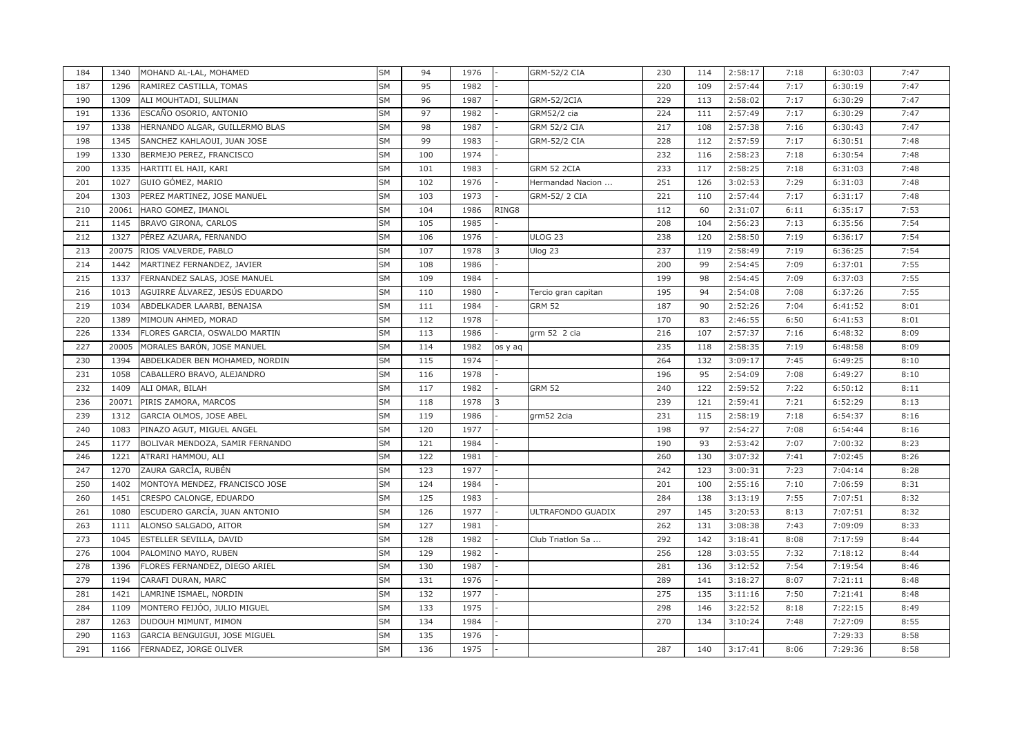| 184 | 1340  | MOHAND AL-LAL, MOHAMED          | SM        | 94  | 1976 |         | <b>GRM-52/2 CIA</b> | 230 | 114 | 2:58:17 | 7:18 | 6:30:03 | 7:47 |
|-----|-------|---------------------------------|-----------|-----|------|---------|---------------------|-----|-----|---------|------|---------|------|
| 187 | 1296  | RAMIREZ CASTILLA, TOMAS         | SM        | 95  | 1982 |         |                     | 220 | 109 | 2:57:44 | 7:17 | 6:30:19 | 7:47 |
| 190 | 1309  | ALI MOUHTADI, SULIMAN           | SM        | 96  | 1987 |         | GRM-52/2CIA         | 229 | 113 | 2:58:02 | 7:17 | 6:30:29 | 7:47 |
| 191 | 1336  | ESCAÑO OSORIO, ANTONIO          | SM        | 97  | 1982 |         | <b>GRM52/2 cia</b>  | 224 | 111 | 2:57:49 | 7:17 | 6:30:29 | 7:47 |
| 197 | 1338  | HERNANDO ALGAR, GUILLERMO BLAS  | <b>SM</b> | 98  | 1987 |         | <b>GRM 52/2 CIA</b> | 217 | 108 | 2:57:38 | 7:16 | 6:30:43 | 7:47 |
| 198 | 1345  | SANCHEZ KAHLAOUI, JUAN JOSE     | SM        | 99  | 1983 |         | <b>GRM-52/2 CIA</b> | 228 | 112 | 2:57:59 | 7:17 | 6:30:51 | 7:48 |
| 199 | 1330  | BERMEJO PEREZ, FRANCISCO        | SM        | 100 | 1974 |         |                     | 232 | 116 | 2:58:23 | 7:18 | 6:30:54 | 7:48 |
| 200 | 1335  | HARTITI EL HAJI, KARI           | SΜ        | 101 | 1983 |         | GRM 52 2CIA         | 233 | 117 | 2:58:25 | 7:18 | 6:31:03 | 7:48 |
| 201 | 1027  | GUIO GÓMEZ, MARIO               | SΜ        | 102 | 1976 |         | Hermandad Nacion    | 251 | 126 | 3:02:53 | 7:29 | 6:31:03 | 7:48 |
| 204 | 1303  | PEREZ MARTINEZ, JOSE MANUEL     | SM        | 103 | 1973 |         | GRM-52/2 CIA        | 221 | 110 | 2:57:44 | 7:17 | 6:31:17 | 7:48 |
| 210 | 20061 | HARO GOMEZ, IMANOL              | SΜ        | 104 | 1986 | RING8   |                     | 112 | 60  | 2:31:07 | 6:11 | 6:35:17 | 7:53 |
| 211 | 1145  | BRAVO GIRONA, CARLOS            | SΜ        | 105 | 1985 |         |                     | 208 | 104 | 2:56:23 | 7:13 | 6:35:56 | 7:54 |
| 212 | 1327  | PÉREZ AZUARA, FERNANDO          | SM        | 106 | 1976 |         | <b>ULOG 23</b>      | 238 | 120 | 2:58:50 | 7:19 | 6:36:17 | 7:54 |
| 213 | 20075 | RIOS VALVERDE, PABLO            | SM        | 107 | 1978 |         | Ulog 23             | 237 | 119 | 2:58:49 | 7:19 | 6:36:25 | 7:54 |
| 214 | 1442  | MARTINEZ FERNANDEZ, JAVIER      | SΜ        | 108 | 1986 |         |                     | 200 | 99  | 2:54:45 | 7:09 | 6:37:01 | 7:55 |
| 215 | 1337  | FERNANDEZ SALAS, JOSE MANUEL    | SM        | 109 | 1984 |         |                     | 199 | 98  | 2:54:45 | 7:09 | 6:37:03 | 7:55 |
| 216 | 1013  | AGUIRRE ÁLVAREZ, JESÚS EDUARDO  | SM        | 110 | 1980 |         | Tercio gran capitan | 195 | 94  | 2:54:08 | 7:08 | 6:37:26 | 7:55 |
| 219 | 1034  | ABDELKADER LAARBI, BENAISA      | SM        | 111 | 1984 |         | <b>GRM 52</b>       | 187 | 90  | 2:52:26 | 7:04 | 6:41:52 | 8:01 |
| 220 | 1389  | MIMOUN AHMED, MORAD             | SΜ        | 112 | 1978 |         |                     | 170 | 83  | 2:46:55 | 6:50 | 6:41:53 | 8:01 |
| 226 | 1334  | FLORES GARCIA, OSWALDO MARTIN   | <b>SM</b> | 113 | 1986 |         | grm 52 2 cia        | 216 | 107 | 2:57:37 | 7:16 | 6:48:32 | 8:09 |
| 227 | 20005 | MORALES BARÓN, JOSE MANUEL      | SM        | 114 | 1982 | os y aq |                     | 235 | 118 | 2:58:35 | 7:19 | 6:48:58 | 8:09 |
| 230 | 1394  | ABDELKADER BEN MOHAMED, NORDIN  | SM        | 115 | 1974 |         |                     | 264 | 132 | 3:09:17 | 7:45 | 6:49:25 | 8:10 |
| 231 | 1058  | CABALLERO BRAVO, ALEJANDRO      | SM        | 116 | 1978 |         |                     | 196 | 95  | 2:54:09 | 7:08 | 6:49:27 | 8:10 |
| 232 | 1409  | ALI OMAR, BILAH                 | SΜ        | 117 | 1982 |         | <b>GRM 52</b>       | 240 | 122 | 2:59:52 | 7:22 | 6:50:12 | 8:11 |
| 236 | 20071 | PIRIS ZAMORA, MARCOS            | SM        | 118 | 1978 |         |                     | 239 | 121 | 2:59:41 | 7:21 | 6:52:29 | 8:13 |
| 239 | 1312  | GARCIA OLMOS, JOSE ABEL         | SΜ        | 119 | 1986 |         | grm52 2cia          | 231 | 115 | 2:58:19 | 7:18 | 6:54:37 | 8:16 |
| 240 | 1083  | PINAZO AGUT, MIGUEL ANGEL       | SM        | 120 | 1977 |         |                     | 198 | 97  | 2:54:27 | 7:08 | 6:54:44 | 8:16 |
| 245 | 1177  | BOLIVAR MENDOZA, SAMIR FERNANDO | SΜ        | 121 | 1984 |         |                     | 190 | 93  | 2:53:42 | 7:07 | 7:00:32 | 8:23 |
| 246 | 1221  | ATRARI HAMMOU, ALI              | SM        | 122 | 1981 |         |                     | 260 | 130 | 3:07:32 | 7:41 | 7:02:45 | 8:26 |
| 247 | 1270  | ZAURA GARCÍA, RUBÉN             | SΜ        | 123 | 1977 |         |                     | 242 | 123 | 3:00:31 | 7:23 | 7:04:14 | 8:28 |
| 250 | 1402  | MONTOYA MENDEZ, FRANCISCO JOSE  | SM        | 124 | 1984 |         |                     | 201 | 100 | 2:55:16 | 7:10 | 7:06:59 | 8:31 |
| 260 | 1451  | CRESPO CALONGE, EDUARDO         | SΜ        | 125 | 1983 |         |                     | 284 | 138 | 3:13:19 | 7:55 | 7:07:51 | 8:32 |
| 261 | 1080  | ESCUDERO GARCÍA, JUAN ANTONIO   | SΜ        | 126 | 1977 |         | ULTRAFONDO GUADIX   | 297 | 145 | 3:20:53 | 8:13 | 7:07:51 | 8:32 |
| 263 | 1111  | ALONSO SALGADO, AITOR           | SΜ        | 127 | 1981 |         |                     | 262 | 131 | 3:08:38 | 7:43 | 7:09:09 | 8:33 |
| 273 | 1045  | ESTELLER SEVILLA, DAVID         | <b>SM</b> | 128 | 1982 |         | Club Triatlon Sa    | 292 | 142 | 3:18:41 | 8:08 | 7:17:59 | 8:44 |
| 276 | 1004  | PALOMINO MAYO, RUBEN            | SΜ        | 129 | 1982 |         |                     | 256 | 128 | 3:03:55 | 7:32 | 7:18:12 | 8:44 |
| 278 | 1396  | FLORES FERNANDEZ, DIEGO ARIEL   | SM        | 130 | 1987 |         |                     | 281 | 136 | 3:12:52 | 7:54 | 7:19:54 | 8:46 |
| 279 | 1194  | CARAFI DURAN, MARC              | SΜ        | 131 | 1976 |         |                     | 289 | 141 | 3:18:27 | 8:07 | 7:21:11 | 8:48 |
| 281 | 1421  | LAMRINE ISMAEL, NORDIN          | SM        | 132 | 1977 |         |                     | 275 | 135 | 3:11:16 | 7:50 | 7:21:41 | 8:48 |
| 284 | 1109  | MONTERO FEIJÓO, JULIO MIGUEL    | SM        | 133 | 1975 |         |                     | 298 | 146 | 3:22:52 | 8:18 | 7:22:15 | 8:49 |
| 287 | 1263  | DUDOUH MIMUNT, MIMON            | SΜ        | 134 | 1984 |         |                     | 270 | 134 | 3:10:24 | 7:48 | 7:27:09 | 8:55 |
| 290 | 1163  | GARCIA BENGUIGUI, JOSE MIGUEL   | <b>SM</b> | 135 | 1976 |         |                     |     |     |         |      | 7:29:33 | 8:58 |
| 291 | 1166  | FERNADEZ, JORGE OLIVER          | SM        | 136 | 1975 |         |                     | 287 | 140 | 3:17:41 | 8:06 | 7:29:36 | 8:58 |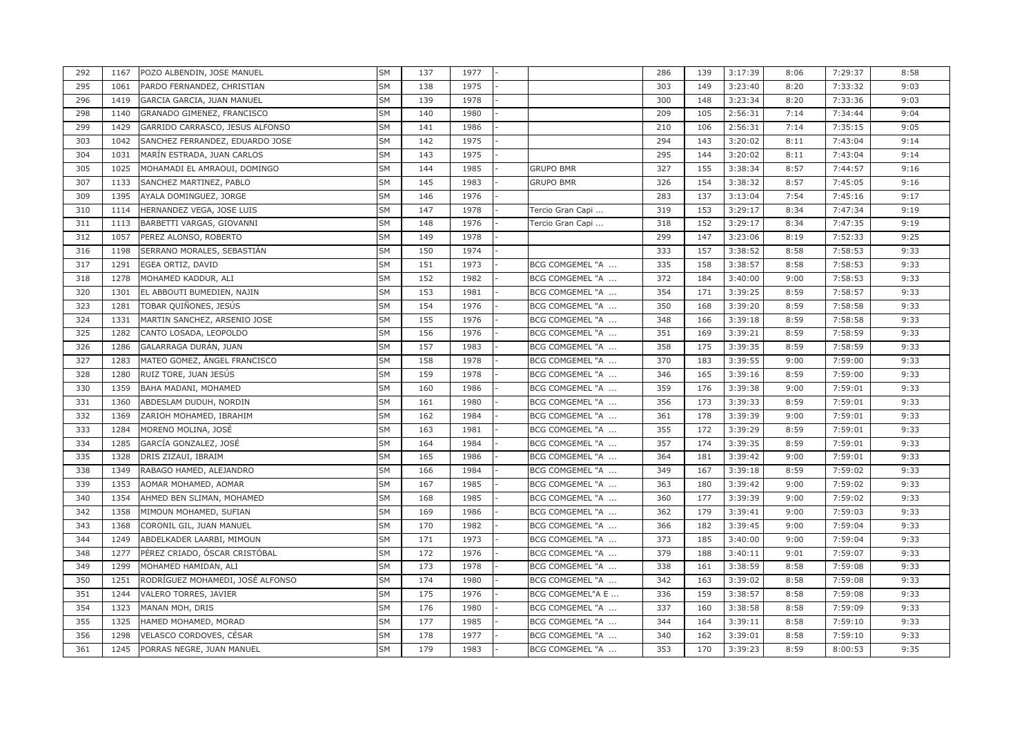| 292 | 1167 | POZO ALBENDIN, JOSE MANUEL       | <b>SM</b> | 137 | 1977 |                  | 286 | 139 | 3:17:39 | 8:06 | 7:29:37 | 8:58 |
|-----|------|----------------------------------|-----------|-----|------|------------------|-----|-----|---------|------|---------|------|
| 295 | 1061 | PARDO FERNANDEZ, CHRISTIAN       | <b>SM</b> | 138 | 1975 |                  | 303 | 149 | 3:23:40 | 8:20 | 7:33:32 | 9:03 |
| 296 | 1419 | GARCIA GARCIA, JUAN MANUEL       | <b>SM</b> | 139 | 1978 |                  | 300 | 148 | 3:23:34 | 8:20 | 7:33:36 | 9:03 |
| 298 | 1140 | GRANADO GIMENEZ, FRANCISCO       | <b>SM</b> | 140 | 1980 |                  | 209 | 105 | 2:56:31 | 7:14 | 7:34:44 | 9:04 |
| 299 | 1429 | GARRIDO CARRASCO, JESUS ALFONSO  | <b>SM</b> | 141 | 1986 |                  | 210 | 106 | 2:56:31 | 7:14 | 7:35:15 | 9:05 |
| 303 | 1042 | SANCHEZ FERRANDEZ, EDUARDO JOSE  | <b>SM</b> | 142 | 1975 |                  | 294 | 143 | 3:20:02 | 8:11 | 7:43:04 | 9:14 |
| 304 | 1031 | MARÍN ESTRADA, JUAN CARLOS       | <b>SM</b> | 143 | 1975 |                  | 295 | 144 | 3:20:02 | 8:11 | 7:43:04 | 9:14 |
| 305 | 1025 | MOHAMADI EL AMRAOUI, DOMINGO     | SΜ        | 144 | 1985 | <b>GRUPO BMR</b> | 327 | 155 | 3:38:34 | 8:57 | 7:44:57 | 9:16 |
| 307 | 1133 | SANCHEZ MARTINEZ, PABLO          | <b>SM</b> | 145 | 1983 | <b>GRUPO BMR</b> | 326 | 154 | 3:38:32 | 8:57 | 7:45:05 | 9:16 |
| 309 | 1395 | AYALA DOMINGUEZ, JORGE           | SΜ        | 146 | 1976 |                  | 283 | 137 | 3:13:04 | 7:54 | 7:45:16 | 9:17 |
| 310 | 1114 | HERNANDEZ VEGA, JOSE LUIS        | SM        | 147 | 1978 | Tercio Gran Capi | 319 | 153 | 3:29:17 | 8:34 | 7:47:34 | 9:19 |
| 311 | 1113 | BARBETTI VARGAS, GIOVANNI        | SΜ        | 148 | 1976 | Tercio Gran Capi | 318 | 152 | 3:29:17 | 8:34 | 7:47:35 | 9:19 |
| 312 | 1057 | PEREZ ALONSO, ROBERTO            | SM        | 149 | 1978 |                  | 299 | 147 | 3:23:06 | 8:19 | 7:52:33 | 9:25 |
| 316 | 1198 | SERRANO MORALES, SEBASTIÁN       | <b>SM</b> | 150 | 1974 |                  | 333 | 157 | 3:38:52 | 8:58 | 7:58:53 | 9:33 |
| 317 | 1291 | EGEA ORTIZ, DAVID                | SΜ        | 151 | 1973 | BCG COMGEMEL "A  | 335 | 158 | 3:38:57 | 8:58 | 7:58:53 | 9:33 |
| 318 | 1278 | MOHAMED KADDUR, ALI              | <b>SM</b> | 152 | 1982 | BCG COMGEMEL "A  | 372 | 184 | 3:40:00 | 9:00 | 7:58:53 | 9:33 |
| 320 | 1301 | EL ABBOUTI BUMEDIEN, NAJIN       | <b>SM</b> | 153 | 1981 | BCG COMGEMEL "A  | 354 | 171 | 3:39:25 | 8:59 | 7:58:57 | 9:33 |
| 323 | 1281 | TOBAR QUIÑONES, JESÚS            | SM        | 154 | 1976 | BCG COMGEMEL "A  | 350 | 168 | 3:39:20 | 8:59 | 7:58:58 | 9:33 |
| 324 | 1331 | MARTIN SANCHEZ, ARSENIO JOSE     | SM        | 155 | 1976 | BCG COMGEMEL "A  | 348 | 166 | 3:39:18 | 8:59 | 7:58:58 | 9:33 |
| 325 | 1282 | CANTO LOSADA, LEOPOLDO           | <b>SM</b> | 156 | 1976 | BCG COMGEMEL "A  | 351 | 169 | 3:39:21 | 8:59 | 7:58:59 | 9:33 |
| 326 | 1286 | GALARRAGA DURÁN, JUAN            | SM        | 157 | 1983 | BCG COMGEMEL "A  | 358 | 175 | 3:39:35 | 8:59 | 7:58:59 | 9:33 |
| 327 | 1283 | MATEO GOMEZ, ÁNGEL FRANCISCO     | <b>SM</b> | 158 | 1978 | BCG COMGEMEL "A  | 370 | 183 | 3:39:55 | 9:00 | 7:59:00 | 9:33 |
| 328 | 1280 | RUIZ TORE, JUAN JESÚS            | SΜ        | 159 | 1978 | BCG COMGEMEL "A  | 346 | 165 | 3:39:16 | 8:59 | 7:59:00 | 9:33 |
| 330 | 1359 | BAHA MADANI, MOHAMED             | SM        | 160 | 1986 | BCG COMGEMEL "A  | 359 | 176 | 3:39:38 | 9:00 | 7:59:01 | 9:33 |
| 331 | 1360 | ABDESLAM DUDUH, NORDIN           | SΜ        | 161 | 1980 | BCG COMGEMEL "A  | 356 | 173 | 3:39:33 | 8:59 | 7:59:01 | 9:33 |
| 332 | 1369 | ZARIOH MOHAMED, IBRAHIM          | SΜ        | 162 | 1984 | BCG COMGEMEL "A  | 361 | 178 | 3:39:39 | 9:00 | 7:59:01 | 9:33 |
| 333 | 1284 | MORENO MOLINA, JOSÉ              | <b>SM</b> | 163 | 1981 | BCG COMGEMEL "A  | 355 | 172 | 3:39:29 | 8:59 | 7:59:01 | 9:33 |
| 334 | 1285 | GARCÍA GONZALEZ, JOSÉ            | SΜ        | 164 | 1984 | BCG COMGEMEL "A  | 357 | 174 | 3:39:35 | 8:59 | 7:59:01 | 9:33 |
| 335 | 1328 | DRIS ZIZAUI, IBRAIM              | SΜ        | 165 | 1986 | BCG COMGEMEL "A  | 364 | 181 | 3:39:42 | 9:00 | 7:59:01 | 9:33 |
| 338 | 1349 | RABAGO HAMED, ALEJANDRO          | SΜ        | 166 | 1984 | BCG COMGEMEL "A  | 349 | 167 | 3:39:18 | 8:59 | 7:59:02 | 9:33 |
| 339 | 1353 | AOMAR MOHAMED, AOMAR             | <b>SM</b> | 167 | 1985 | BCG COMGEMEL "A  | 363 | 180 | 3:39:42 | 9:00 | 7:59:02 | 9:33 |
| 340 | 1354 | AHMED BEN SLIMAN, MOHAMED        | SM        | 168 | 1985 | BCG COMGEMEL "A  | 360 | 177 | 3:39:39 | 9:00 | 7:59:02 | 9:33 |
| 342 | 1358 | MIMOUN MOHAMED, SUFIAN           | SΜ        | 169 | 1986 | BCG COMGEMEL "A  | 362 | 179 | 3:39:41 | 9:00 | 7:59:03 | 9:33 |
| 343 | 1368 | CORONIL GIL, JUAN MANUEL         | SΜ        | 170 | 1982 | BCG COMGEMEL "A  | 366 | 182 | 3:39:45 | 9:00 | 7:59:04 | 9:33 |
| 344 | 1249 | ABDELKADER LAARBI, MIMOUN        | <b>SM</b> | 171 | 1973 | BCG COMGEMEL "A  | 373 | 185 | 3:40:00 | 9:00 | 7:59:04 | 9:33 |
| 348 | 1277 | PÉREZ CRIADO, ÓSCAR CRISTÓBAL    | SΜ        | 172 | 1976 | BCG COMGEMEL "A  | 379 | 188 | 3:40:11 | 9:01 | 7:59:07 | 9:33 |
| 349 | 1299 | MOHAMED HAMIDAN, ALI             | SΜ        | 173 | 1978 | BCG COMGEMEL "A  | 338 | 161 | 3:38:59 | 8:58 | 7:59:08 | 9:33 |
| 350 | 1251 | RODRÍGUEZ MOHAMEDI, JOSÉ ALFONSO | <b>SM</b> | 174 | 1980 | BCG COMGEMEL "A  | 342 | 163 | 3:39:02 | 8:58 | 7:59:08 | 9:33 |
| 351 | 1244 | VALERO TORRES, JAVIER            | SM        | 175 | 1976 | BCG COMGEMEL"A E | 336 | 159 | 3:38:57 | 8:58 | 7:59:08 | 9:33 |
| 354 | 1323 | MANAN MOH, DRIS                  | <b>SM</b> | 176 | 1980 | BCG COMGEMEL "A  | 337 | 160 | 3:38:58 | 8:58 | 7:59:09 | 9:33 |
| 355 | 1325 | HAMED MOHAMED, MORAD             | SM        | 177 | 1985 | BCG COMGEMEL "A  | 344 | 164 | 3:39:11 | 8:58 | 7:59:10 | 9:33 |
| 356 | 1298 | VELASCO CORDOVES, CÉSAR          | <b>SM</b> | 178 | 1977 | BCG COMGEMEL "A  | 340 | 162 | 3:39:01 | 8:58 | 7:59:10 | 9:33 |
| 361 | 1245 | PORRAS NEGRE, JUAN MANUEL        | <b>SM</b> | 179 | 1983 | BCG COMGEMEL "A  | 353 | 170 | 3:39:23 | 8:59 | 8:00:53 | 9:35 |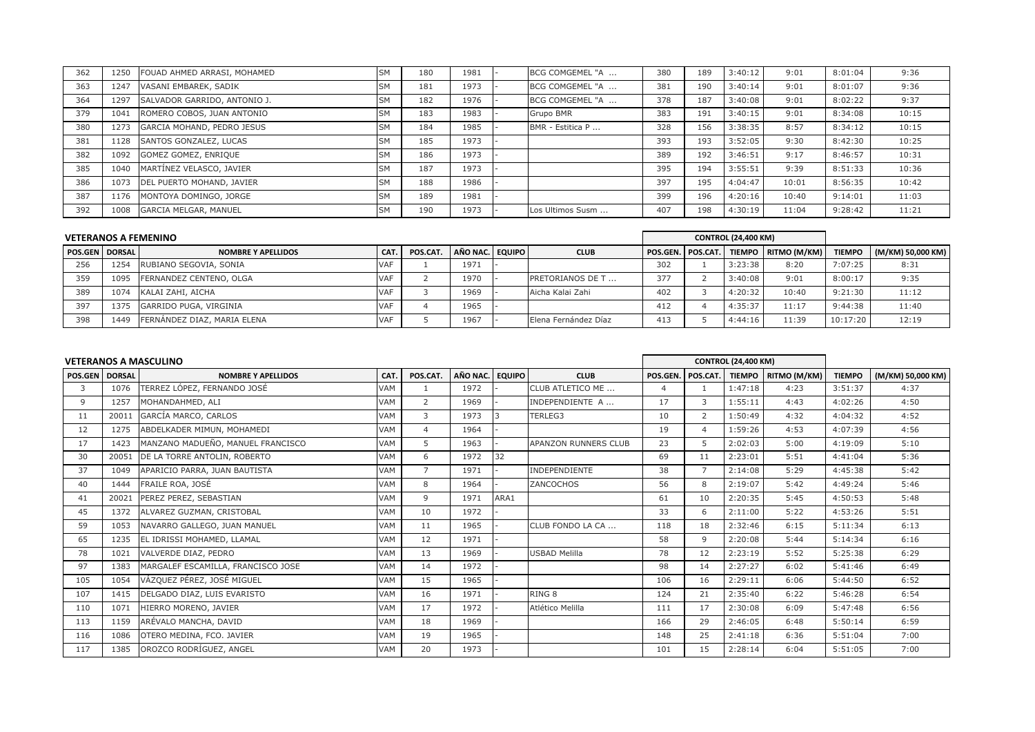| 362 | 1250 | FOUAD AHMED ARRASI, MOHAMED  | <b>SM</b> | 180 | 1981 | BCG COMGEMEL "A  | 380 | 189 | 3:40:12 | 9:01  | 8:01:04 | 9:36  |
|-----|------|------------------------------|-----------|-----|------|------------------|-----|-----|---------|-------|---------|-------|
| 363 | 1247 | VASANI EMBAREK, SADIK        | SМ        | 181 | 1973 | BCG COMGEMEL "A  | 381 | 190 | 3:40:14 | 9:01  | 8:01:07 | 9:36  |
| 364 | 1297 | SALVADOR GARRIDO, ANTONIO J. | <b>SM</b> | 182 | 1976 | BCG COMGEMEL "A  | 378 | 187 | 3:40:08 | 9:01  | 8:02:22 | 9:37  |
| 379 | 1041 | ROMERO COBOS, JUAN ANTONIO   | <b>SM</b> | 183 | 1983 | <b>Grupo BMR</b> | 383 | 191 | 3:40:15 | 9:01  | 8:34:08 | 10:15 |
| 380 | 1273 | GARCIA MOHAND, PEDRO JESUS   | <b>SM</b> | 184 | 1985 | BMR - Estitica P | 328 | 156 | 3:38:35 | 8:57  | 8:34:12 | 10:15 |
| 381 | 1128 | SANTOS GONZALEZ, LUCAS       | SΜ        | 185 | 1973 |                  | 393 | 193 | 3:52:05 | 9:30  | 8:42:30 | 10:25 |
| 382 | 1092 | GOMEZ GOMEZ, ENRIQUE         | SM        | 186 | 1973 |                  | 389 | 192 | 3:46:51 | 9:17  | 8:46:57 | 10:31 |
| 385 | 1040 | MARTÍNEZ VELASCO, JAVIER     | SΜ        | 187 | 1973 |                  | 395 | 194 | 3:55:51 | 9:39  | 8:51:33 | 10:36 |
| 386 | 1073 | DEL PUERTO MOHAND, JAVIER    | SM        | 188 | 1986 |                  | 397 | 195 | 4:04:47 | 10:01 | 8:56:35 | 10:42 |
| 387 | 1176 | MONTOYA DOMINGO, JORGE       | SΜ        | 189 | 1981 |                  | 399 | 196 | 4:20:16 | 10:40 | 9:14:01 | 11:03 |
| 392 | 1008 | <b>GARCIA MELGAR, MANUEL</b> | SM        | 190 | 1973 | Los Ultimos Susm | 407 | 198 | 4:30:19 | 11:04 | 9:28:42 | 11:21 |

|                       |      | <b>VETERANOS A FEMENINO</b> |            |          |                 |                         |                     | <b>CONTROL (24,400 KM)</b> |                       |               |                   |
|-----------------------|------|-----------------------------|------------|----------|-----------------|-------------------------|---------------------|----------------------------|-----------------------|---------------|-------------------|
| <b>POS.GEN DORSAL</b> |      | <b>NOMBRE Y APELLIDOS</b>   | CAT.       | POS.CAT. | AÑO NAC. EQUIPO | <b>CLUB</b>             | POS.GEN.   POS.CAT. |                            | TIEMPO   RITMO (M/KM) | <b>TIEMPO</b> | (M/KM) 50,000 KM) |
| 256                   | 1254 | RUBIANO SEGOVIA, SONIA      | <b>VAF</b> |          | 1971            |                         | 302                 | 3:23:38                    | 8:20                  | 7:07:25       | 8:31              |
| 359                   | 1095 | FERNANDEZ CENTENO, OLGA     | <b>VAF</b> |          | 1970            | <b>PRETORIANOS DE T</b> | 377                 | 3:40:08                    | 9:01                  | 8:00:17       | 9:35              |
| 389                   | 1074 | KALAI ZAHI, AICHA           | <b>VAF</b> |          | 1969            | Aicha Kalai Zahi        | 402                 | 4:20:32                    | 10:40                 | 9:21:30       | 11:12             |
| 397                   | 1375 | GARRIDO PUGA, VIRGINIA      | <b>VAF</b> |          | 1965            |                         | 412                 | 4:35:37                    | 11:17                 | 9:44:38       | 11:40             |
| 398                   | 1449 | FERNÁNDEZ DIAZ, MARIA ELENA | <b>VAF</b> |          | 1967            | Elena Fernández Díaz    | 413                 | 4:44:16                    | 11:39                 | 10:17:20      | 12:19             |

|                       |       | <b>VETERANOS A MASCULINO</b>       |            |                |          |               |                      |          |                | <b>CONTROL (24,400 KM)</b> |                     |               |                   |
|-----------------------|-------|------------------------------------|------------|----------------|----------|---------------|----------------------|----------|----------------|----------------------------|---------------------|---------------|-------------------|
| <b>POS.GEN DORSAL</b> |       | <b>NOMBRE Y APELLIDOS</b>          | CAT.       | POS.CAT.       | AÑO NAC. | <b>EQUIPO</b> | <b>CLUB</b>          | POS.GEN. | POS.CAT.       |                            | TIEMPO RITMO (M/KM) | <b>TIEMPO</b> | (M/KM) 50,000 KM) |
| 3                     | 1076  | TERREZ LÓPEZ, FERNANDO JOSÉ        | VAM        |                | 1972     |               | CLUB ATLETICO ME     | 4        |                | 1:47:18                    | 4:23                | 3:51:37       | 4:37              |
| 9                     | 1257  | MOHANDAHMED, ALI                   | VAM        | 2              | 1969     |               | INDEPENDIENTE A      | 17       | 3              | 1:55:11                    | 4:43                | 4:02:26       | 4:50              |
| 11                    | 20011 | GARCÍA MARCO, CARLOS               | <b>VAM</b> | 3              | 1973     |               | TERLEG3              | 10       | 2              | 1:50:49                    | 4:32                | 4:04:32       | 4:52              |
| 12                    | 1275  | ABDELKADER MIMUN, MOHAMEDI         | <b>VAM</b> | $\overline{4}$ | 1964     |               |                      | 19       | $\overline{4}$ | 1:59:26                    | 4:53                | 4:07:39       | 4:56              |
| 17                    | 1423  | MANZANO MADUEÑO, MANUEL FRANCISCO  | <b>VAM</b> | 5              | 1963     |               | APANZON RUNNERS CLUB | 23       | 5              | 2:02:03                    | 5:00                | 4:19:09       | 5:10              |
| 30                    | 20051 | DE LA TORRE ANTOLIN, ROBERTO       | <b>VAM</b> | 6              | 1972     | 32            |                      | 69       | 11             | 2:23:01                    | 5:51                | 4:41:04       | 5:36              |
| 37                    | 1049  | APARICIO PARRA, JUAN BAUTISTA      | <b>VAM</b> | $\overline{7}$ | 1971     |               | <b>INDEPENDIENTE</b> | 38       |                | 2:14:08                    | 5:29                | 4:45:38       | 5:42              |
| 40                    | 1444  | FRAILE ROA, JOSÉ                   | <b>VAM</b> | 8              | 1964     |               | ZANCOCHOS            | 56       | 8              | 2:19:07                    | 5:42                | 4:49:24       | 5:46              |
| 41                    | 20021 | PEREZ PEREZ, SEBASTIAN             | <b>VAM</b> | 9              | 1971     | ARA1          |                      | 61       | 10             | 2:20:35                    | 5:45                | 4:50:53       | 5:48              |
| 45                    | 1372  | ALVAREZ GUZMAN, CRISTOBAL          | <b>VAM</b> | 10             | 1972     |               |                      | 33       | 6              | 2:11:00                    | 5:22                | 4:53:26       | 5:51              |
| 59                    | 1053  | NAVARRO GALLEGO, JUAN MANUEL       | <b>VAM</b> | 11             | 1965     |               | CLUB FONDO LA CA     | 118      | 18             | 2:32:46                    | 6:15                | 5:11:34       | 6:13              |
| 65                    | 1235  | EL IDRISSI MOHAMED, LLAMAL         | <b>VAM</b> | 12             | 1971     |               |                      | 58       | 9              | 2:20:08                    | 5:44                | 5:14:34       | 6:16              |
| 78                    | 1021  | VALVERDE DIAZ, PEDRO               | <b>VAM</b> | 13             | 1969     |               | <b>USBAD Melilla</b> | 78       | 12             | 2:23:19                    | 5:52                | 5:25:38       | 6:29              |
| 97                    | 1383  | MARGALEF ESCAMILLA, FRANCISCO JOSE | <b>VAM</b> | 14             | 1972     |               |                      | 98       | 14             | 2:27:27                    | 6:02                | 5:41:46       | 6:49              |
| 105                   | 1054  | VÁZQUEZ PÉREZ, JOSÉ MIGUEL         | <b>VAM</b> | 15             | 1965     |               |                      | 106      | 16             | 2:29:11                    | 6:06                | 5:44:50       | 6:52              |
| 107                   | 1415  | DELGADO DIAZ, LUIS EVARISTO        | <b>VAM</b> | 16             | 1971     |               | RING <sub>8</sub>    | 124      | 21             | 2:35:40                    | 6:22                | 5:46:28       | 6:54              |
| 110                   | 1071  | HIERRO MORENO, JAVIER              | <b>VAM</b> | 17             | 1972     |               | Atlético Melilla     | 111      | 17             | 2:30:08                    | 6:09                | 5:47:48       | 6:56              |
| 113                   | 1159  | ARÉVALO MANCHA, DAVID              | <b>VAM</b> | 18             | 1969     |               |                      | 166      | 29             | 2:46:05                    | 6:48                | 5:50:14       | 6:59              |
| 116                   | 1086  | OTERO MEDINA, FCO. JAVIER          | <b>VAM</b> | 19             | 1965     |               |                      | 148      | 25             | 2:41:18                    | 6:36                | 5:51:04       | 7:00              |
| 117                   | 1385  | OROZCO RODRÍGUEZ, ANGEL            | <b>VAM</b> | 20             | 1973     |               |                      | 101      | 15             | 2:28:14                    | 6:04                | 5:51:05       | 7:00              |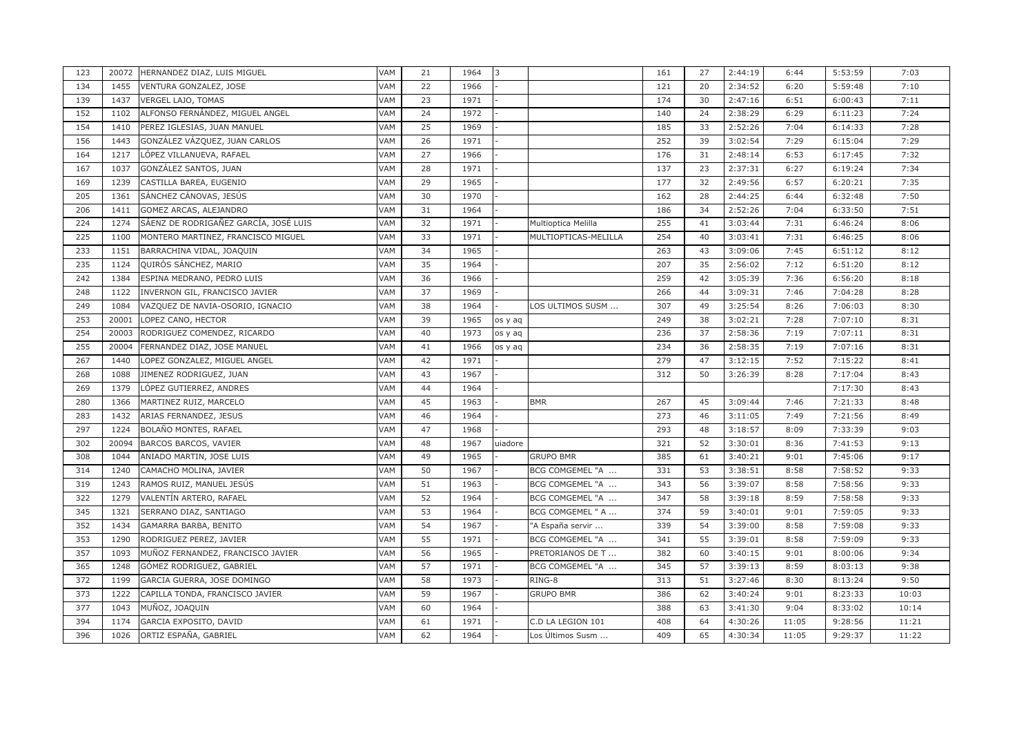| 123 | 20072 | HERNANDEZ DIAZ, LUIS MIGUEL           | VAM | 21 | 1964 | 3       |                      | 161 | 27 | 2:44:19 | 6:44  | 5:53:59 | 7:03  |
|-----|-------|---------------------------------------|-----|----|------|---------|----------------------|-----|----|---------|-------|---------|-------|
| 134 | 1455  | VENTURA GONZALEZ, JOSE                | VAM | 22 | 1966 |         |                      | 121 | 20 | 2:34:52 | 6:20  | 5:59:48 | 7:10  |
| 139 | 1437  | VERGEL LAJO, TOMAS                    | VAM | 23 | 1971 |         |                      | 174 | 30 | 2:47:16 | 6:51  | 6:00:43 | 7:11  |
| 152 | 1102  | ALFONSO FERNÁNDEZ, MIGUEL ANGEL       | VAM | 24 | 1972 |         |                      | 140 | 24 | 2:38:29 | 6:29  | 6:11:23 | 7:24  |
| 154 | 1410  | PEREZ IGLESIAS, JUAN MANUEL           | VAM | 25 | 1969 |         |                      | 185 | 33 | 2:52:26 | 7:04  | 6:14:33 | 7:28  |
| 156 | 1443  | GONZÁLEZ VÁZQUEZ, JUAN CARLOS         | VAM | 26 | 1971 |         |                      | 252 | 39 | 3:02:54 | 7:29  | 6:15:04 | 7:29  |
| 164 | 1217  | LÓPEZ VILLANUEVA, RAFAEL              | VAM | 27 | 1966 |         |                      | 176 | 31 | 2:48:14 | 6:53  | 6:17:45 | 7:32  |
| 167 | 1037  | GONZÁLEZ SANTOS, JUAN                 | VAM | 28 | 1971 |         |                      | 137 | 23 | 2:37:31 | 6:27  | 6:19:24 | 7:34  |
| 169 | 1239  | CASTILLA BAREA, EUGENIO               | VAM | 29 | 1965 |         |                      | 177 | 32 | 2:49:56 | 6:57  | 6:20:21 | 7:35  |
| 205 | 1361  | SÁNCHEZ CÁNOVAS, JESÚS                | VAM | 30 | 1970 |         |                      | 162 | 28 | 2:44:25 | 6:44  | 6:32:48 | 7:50  |
| 206 | 1411  | GOMEZ ARCAS, ALEJANDRO                | VAM | 31 | 1964 |         |                      | 186 | 34 | 2:52:26 | 7:04  | 6:33:50 | 7:51  |
| 224 | 1274  | SÁENZ DE RODRIGAÑEZ GARCÍA, JOSÉ LUIS | VAM | 32 | 1971 |         | Multioptica Melilla  | 255 | 41 | 3:03:44 | 7:31  | 6:46:24 | 8:06  |
| 225 | 1100  | MONTERO MARTINEZ, FRANCISCO MIGUEL    | VAM | 33 | 1971 |         | MULTIOPTICAS-MELILLA | 254 | 40 | 3:03:41 | 7:31  | 6:46:25 | 8:06  |
| 233 | 1151  | BARRACHINA VIDAL, JOAQUIN             | VAM | 34 | 1965 |         |                      | 263 | 43 | 3:09:06 | 7:45  | 6:51:12 | 8:12  |
| 235 | 1124  | QUIRÓS SÁNCHEZ, MARIO                 | VAM | 35 | 1964 |         |                      | 207 | 35 | 2:56:02 | 7:12  | 6:51:20 | 8:12  |
| 242 | 1384  | ESPINA MEDRANO, PEDRO LUIS            | VAM | 36 | 1966 |         |                      | 259 | 42 | 3:05:39 | 7:36  | 6:56:20 | 8:18  |
| 248 | 1122  | INVERNON GIL, FRANCISCO JAVIER        | VAM | 37 | 1969 |         |                      | 266 | 44 | 3:09:31 | 7:46  | 7:04:28 | 8:28  |
| 249 | 1084  | VAZQUEZ DE NAVIA-OSORIO, IGNACIO      | VAM | 38 | 1964 |         | LOS ULTIMOS SUSM     | 307 | 49 | 3:25:54 | 8:26  | 7:06:03 | 8:30  |
| 253 | 20001 | LOPEZ CANO, HECTOR                    | VAM | 39 | 1965 | os y aq |                      | 249 | 38 | 3:02:21 | 7:28  | 7:07:10 | 8:31  |
| 254 | 20003 | RODRIGUEZ COMENDEZ, RICARDO           | VAM | 40 | 1973 | os y aq |                      | 236 | 37 | 2:58:36 | 7:19  | 7:07:11 | 8:31  |
| 255 | 20004 | FERNANDEZ DIAZ, JOSE MANUEL           | VAM | 41 | 1966 | os y aq |                      | 234 | 36 | 2:58:35 | 7:19  | 7:07:16 | 8:31  |
| 267 | 1440  | LOPEZ GONZALEZ, MIGUEL ANGEL          | VAM | 42 | 1971 |         |                      | 279 | 47 | 3:12:15 | 7:52  | 7:15:22 | 8:41  |
| 268 | 1088  | JIMENEZ RODRIGUEZ, JUAN               | VAM | 43 | 1967 |         |                      | 312 | 50 | 3:26:39 | 8:28  | 7:17:04 | 8:43  |
| 269 | 1379  | LÓPEZ GUTIERREZ, ANDRES               | VAM | 44 | 1964 |         |                      |     |    |         |       | 7:17:30 | 8:43  |
| 280 | 1366  | MARTINEZ RUIZ, MARCELO                | VAM | 45 | 1963 |         | <b>BMR</b>           | 267 | 45 | 3:09:44 | 7:46  | 7:21:33 | 8:48  |
| 283 | 1432  | ARIAS FERNANDEZ, JESUS                | VAM | 46 | 1964 |         |                      | 273 | 46 | 3:11:05 | 7:49  | 7:21:56 | 8:49  |
| 297 | 1224  | BOLAÑO MONTES, RAFAEL                 | VAM | 47 | 1968 |         |                      | 293 | 48 | 3:18:57 | 8:09  | 7:33:39 | 9:03  |
| 302 | 20094 | BARCOS BARCOS, VAVIER                 | VAM | 48 | 1967 | uiadore |                      | 321 | 52 | 3:30:01 | 8:36  | 7:41:53 | 9:13  |
| 308 | 1044  | ANIADO MARTIN, JOSE LUIS              | VAM | 49 | 1965 |         | <b>GRUPO BMR</b>     | 385 | 61 | 3:40:21 | 9:01  | 7:45:06 | 9:17  |
| 314 | 1240  | CAMACHO MOLINA, JAVIER                | VAM | 50 | 1967 |         | BCG COMGEMEL "A      | 331 | 53 | 3:38:51 | 8:58  | 7:58:52 | 9:33  |
| 319 | 1243  | RAMOS RUIZ, MANUEL JESÚS              | VAM | 51 | 1963 |         | BCG COMGEMEL "A      | 343 | 56 | 3:39:07 | 8:58  | 7:58:56 | 9:33  |
| 322 | 1279  | VALENTÍN ARTERO, RAFAEL               | VAM | 52 | 1964 |         | BCG COMGEMEL "A      | 347 | 58 | 3:39:18 | 8:59  | 7:58:58 | 9:33  |
| 345 | 1321  | SERRANO DIAZ, SANTIAGO                | VAM | 53 | 1964 |         | BCG COMGEMEL " A     | 374 | 59 | 3:40:01 | 9:01  | 7:59:05 | 9:33  |
| 352 | 1434  | GAMARRA BARBA, BENITO                 | VAM | 54 | 1967 |         | "A España servir     | 339 | 54 | 3:39:00 | 8:58  | 7:59:08 | 9:33  |
| 353 | 1290  | RODRIGUEZ PEREZ, JAVIER               | VAM | 55 | 1971 |         | BCG COMGEMEL "A      | 341 | 55 | 3:39:01 | 8:58  | 7:59:09 | 9:33  |
| 357 | 1093  | MUÑOZ FERNANDEZ, FRANCISCO JAVIER     | VAM | 56 | 1965 |         | PRETORIANOS DE T     | 382 | 60 | 3:40:15 | 9:01  | 8:00:06 | 9:34  |
| 365 | 1248  | GÓMEZ RODRIGUEZ, GABRIEL              | VAM | 57 | 1971 |         | BCG COMGEMEL "A      | 345 | 57 | 3:39:13 | 8:59  | 8:03:13 | 9:38  |
| 372 | 1199  | GARCIA GUERRA, JOSE DOMINGO           | VAM | 58 | 1973 |         | RING-8               | 313 | 51 | 3:27:46 | 8:30  | 8:13:24 | 9:50  |
| 373 | 1222  | CAPILLA TONDA, FRANCISCO JAVIER       | VAM | 59 | 1967 |         | <b>GRUPO BMR</b>     | 386 | 62 | 3:40:24 | 9:01  | 8:23:33 | 10:03 |
| 377 | 1043  | MUÑOZ, JOAQUIN                        | VAM | 60 | 1964 |         |                      | 388 | 63 | 3:41:30 | 9:04  | 8:33:02 | 10:14 |
| 394 | 1174  | GARCIA EXPOSITO, DAVID                | VAM | 61 | 1971 |         | C.D LA LEGION 101    | 408 | 64 | 4:30:26 | 11:05 | 9:28:56 | 11:21 |
| 396 | 1026  | ORTIZ ESPAÑA, GABRIEL                 | VAM | 62 | 1964 |         | Los Últimos Susm …   | 409 | 65 | 4:30:34 | 11:05 | 9:29:37 | 11:22 |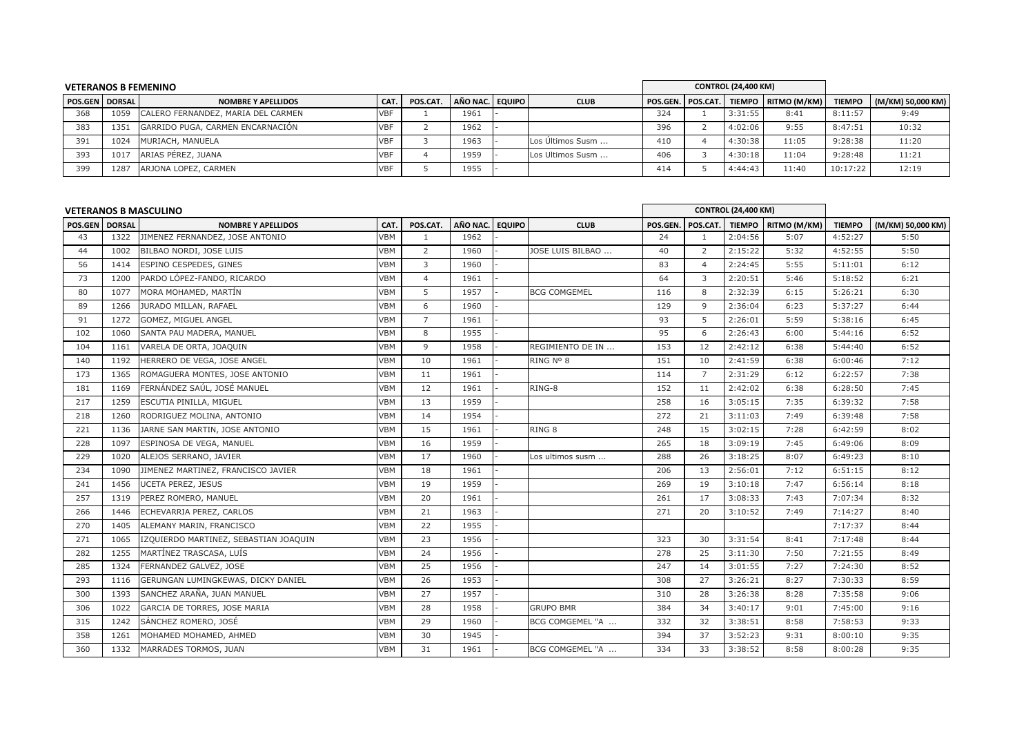| <b>VETERANOS B FEMENINO</b> |      |                                    |            |          |                 |  |                  |     |  | <b>CONTROL (24,400 KM)</b> |                                       |               |                   |
|-----------------------------|------|------------------------------------|------------|----------|-----------------|--|------------------|-----|--|----------------------------|---------------------------------------|---------------|-------------------|
| <b>POS.GEN DORSAL</b>       |      | <b>NOMBRE Y APELLIDOS</b>          | CAT.       | POS.CAT. | AÑO NAC. EQUIPO |  | <b>CLUB</b>      |     |  |                            | POS.GEN. POS.CAT. TIEMPO RITMO (M/KM) | <b>TIEMPO</b> | (M/KM) 50,000 KM) |
| 368                         | 1059 | CALERO FERNANDEZ, MARIA DEL CARMEN | <b>VBF</b> |          | 1961            |  |                  | 324 |  | 3:31:55                    | 8:41                                  | 8:11:57       | 9:49              |
| 383                         | 1351 | GARRIDO PUGA, CARMEN ENCARNACIÓN   | <b>VBF</b> |          | 1962            |  |                  | 396 |  | 4:02:06                    | 9:55                                  | 8:47:51       | 10:32             |
| 391                         | 1024 | MURIACH, MANUELA                   | <b>VBF</b> |          | 1963            |  | Los Últimos Susm | 410 |  | 4:30:38                    | 11:05                                 | 9:28:38       | 11:20             |
| 393                         | 1017 | ARIAS PÉREZ, JUANA                 | <b>VBF</b> |          | 1959            |  | Los Ultimos Susm | 406 |  | 4:30:18                    | 11:04                                 | 9:28:48       | 11:21             |
| 399                         | 1287 | ARJONA LOPEZ, CARMEN               | <b>VBF</b> |          | 1955            |  |                  | 414 |  | 4:44:43                    | 11:40                                 | 10:17:22      | 12:19             |

|                |      | <b>VETERANOS B MASCULINO</b>          |            |                |          |               |                     |         |                | <b>CONTROL (24,400 KM)</b> |                     |               |                   |
|----------------|------|---------------------------------------|------------|----------------|----------|---------------|---------------------|---------|----------------|----------------------------|---------------------|---------------|-------------------|
| POS.GEN DORSAL |      | <b>NOMBRE Y APELLIDOS</b>             | CAT.       | POS.CAT.       | AÑO NAC. | <b>EQUIPO</b> | <b>CLUB</b>         | POS.GEN | POS.CAT.       |                            | TIEMPO RITMO (M/KM) | <b>TIEMPO</b> | (M/KM) 50,000 KM) |
| 43             | 1322 | JIMENEZ FERNANDEZ, JOSE ANTONIO       | <b>VBM</b> | 1              | 1962     |               |                     | 24      | 1              | 2:04:56                    | 5:07                | 4:52:27       | 5:50              |
| 44             | 1002 | BILBAO NORDI, JOSE LUIS               | <b>VBM</b> | 2              | 1960     |               | JOSE LUIS BILBAO    | 40      | $\overline{2}$ | 2:15:22                    | 5:32                | 4:52:55       | 5:50              |
| 56             | 1414 | ESPINO CESPEDES, GINES                | <b>VBM</b> | 3              | 1960     |               |                     | 83      | 4              | 2:24:45                    | 5:55                | 5:11:01       | 6:12              |
| 73             | 1200 | PARDO LÓPEZ-FANDO, RICARDO            | <b>VBM</b> | $\overline{4}$ | 1961     |               |                     | 64      | 3              | 2:20:51                    | 5:46                | 5:18:52       | 6:21              |
| 80             | 1077 | MORA MOHAMED, MARTÍN                  | VBM        | 5              | 1957     |               | <b>BCG COMGEMEL</b> | 116     | 8              | 2:32:39                    | 6:15                | 5:26:21       | 6:30              |
| 89             | 1266 | JURADO MILLAN, RAFAEL                 | VBM        | 6              | 1960     |               |                     | 129     | 9              | 2:36:04                    | 6:23                | 5:37:27       | 6:44              |
| 91             | 1272 | GOMEZ, MIGUEL ANGEL                   | <b>VBM</b> | $\overline{7}$ | 1961     |               |                     | 93      | 5              | 2:26:01                    | 5:59                | 5:38:16       | 6:45              |
| 102            | 1060 | SANTA PAU MADERA, MANUEL              | VBM        | 8              | 1955     |               |                     | 95      | 6              | 2:26:43                    | 6:00                | 5:44:16       | 6:52              |
| 104            | 1161 | VARELA DE ORTA, JOAQUIN               | <b>VBM</b> | 9              | 1958     |               | REGIMIENTO DE IN    | 153     | 12             | 2:42:12                    | 6:38                | 5:44:40       | 6:52              |
| 140            | 1192 | HERRERO DE VEGA, JOSE ANGEL           | <b>VBM</b> | 10             | 1961     |               | RING Nº 8           | 151     | 10             | 2:41:59                    | 6:38                | 6:00:46       | 7:12              |
| 173            | 1365 | ROMAGUERA MONTES, JOSE ANTONIO        | VBM        | 11             | 1961     |               |                     | 114     | $\overline{7}$ | 2:31:29                    | 6:12                | 6:22:57       | 7:38              |
| 181            | 1169 | FERNÁNDEZ SAÚL, JOSÉ MANUEL           | VBM        | 12             | 1961     |               | RING-8              | 152     | 11             | 2:42:02                    | 6:38                | 6:28:50       | 7:45              |
| 217            | 1259 | ESCUTIA PINILLA, MIGUEL               | <b>VBM</b> | 13             | 1959     |               |                     | 258     | 16             | 3:05:15                    | 7:35                | 6:39:32       | 7:58              |
| 218            | 1260 | RODRIGUEZ MOLINA, ANTONIO             | <b>VBM</b> | 14             | 1954     |               |                     | 272     | 21             | 3:11:03                    | 7:49                | 6:39:48       | 7:58              |
| 221            | 1136 | JARNE SAN MARTIN, JOSE ANTONIO        | VBM        | 15             | 1961     |               | RING 8              | 248     | 15             | 3:02:15                    | 7:28                | 6:42:59       | 8:02              |
| 228            | 1097 | ESPINOSA DE VEGA, MANUEL              | VBM        | 16             | 1959     |               |                     | 265     | 18             | 3:09:19                    | 7:45                | 6:49:06       | 8:09              |
| 229            | 1020 | ALEJOS SERRANO, JAVIER                | <b>VBM</b> | 17             | 1960     |               | Los ultimos susm    | 288     | 26             | 3:18:25                    | 8:07                | 6:49:23       | 8:10              |
| 234            | 1090 | JIMENEZ MARTINEZ, FRANCISCO JAVIER    | <b>VBM</b> | 18             | 1961     |               |                     | 206     | 13             | 2:56:01                    | 7:12                | 6:51:15       | 8:12              |
| 241            | 1456 | <b>UCETA PEREZ, JESUS</b>             | <b>VBM</b> | 19             | 1959     |               |                     | 269     | 19             | 3:10:18                    | 7:47                | 6:56:14       | 8:18              |
| 257            | 1319 | PEREZ ROMERO, MANUEL                  | VBM        | 20             | 1961     |               |                     | 261     | 17             | 3:08:33                    | 7:43                | 7:07:34       | 8:32              |
| 266            | 1446 | ECHEVARRIA PEREZ, CARLOS              | <b>VBM</b> | 21             | 1963     |               |                     | 271     | 20             | 3:10:52                    | 7:49                | 7:14:27       | 8:40              |
| 270            | 1405 | ALEMANY MARIN, FRANCISCO              | <b>VBM</b> | 22             | 1955     |               |                     |         |                |                            |                     | 7:17:37       | 8:44              |
| 271            | 1065 | IZQUIERDO MARTINEZ, SEBASTIAN JOAQUIN | <b>VBM</b> | 23             | 1956     |               |                     | 323     | 30             | 3:31:54                    | 8:41                | 7:17:48       | 8:44              |
| 282            | 1255 | MARTÍNEZ TRASCASA, LUÍS               | VBM        | 24             | 1956     |               |                     | 278     | 25             | 3:11:30                    | 7:50                | 7:21:55       | 8:49              |
| 285            | 1324 | FERNANDEZ GALVEZ, JOSE                | <b>VBM</b> | 25             | 1956     |               |                     | 247     | 14             | 3:01:55                    | 7:27                | 7:24:30       | 8:52              |
| 293            | 1116 | GERUNGAN LUMINGKEWAS, DICKY DANIEL    | <b>VBM</b> | 26             | 1953     |               |                     | 308     | 27             | 3:26:21                    | 8:27                | 7:30:33       | 8:59              |
| 300            | 1393 | SANCHEZ ARAÑA, JUAN MANUEL            | <b>VBM</b> | 27             | 1957     |               |                     | 310     | 28             | 3:26:38                    | 8:28                | 7:35:58       | 9:06              |
| 306            | 1022 | GARCIA DE TORRES, JOSE MARIA          | <b>VBM</b> | 28             | 1958     |               | <b>GRUPO BMR</b>    | 384     | 34             | 3:40:17                    | 9:01                | 7:45:00       | 9:16              |
| 315            | 1242 | SÁNCHEZ ROMERO, JOSÉ                  | <b>VBM</b> | 29             | 1960     |               | BCG COMGEMEL "A     | 332     | 32             | 3:38:51                    | 8:58                | 7:58:53       | 9:33              |
| 358            | 1261 | MOHAMED MOHAMED, AHMED                | <b>VBM</b> | 30             | 1945     |               |                     | 394     | 37             | 3:52:23                    | 9:31                | 8:00:10       | 9:35              |
| 360            | 1332 | MARRADES TORMOS, JUAN                 | VBM        | 31             | 1961     |               | BCG COMGEMEL "A     | 334     | 33             | 3:38:52                    | 8:58                | 8:00:28       | 9:35              |
|                |      |                                       |            |                |          |               |                     |         |                |                            |                     |               |                   |